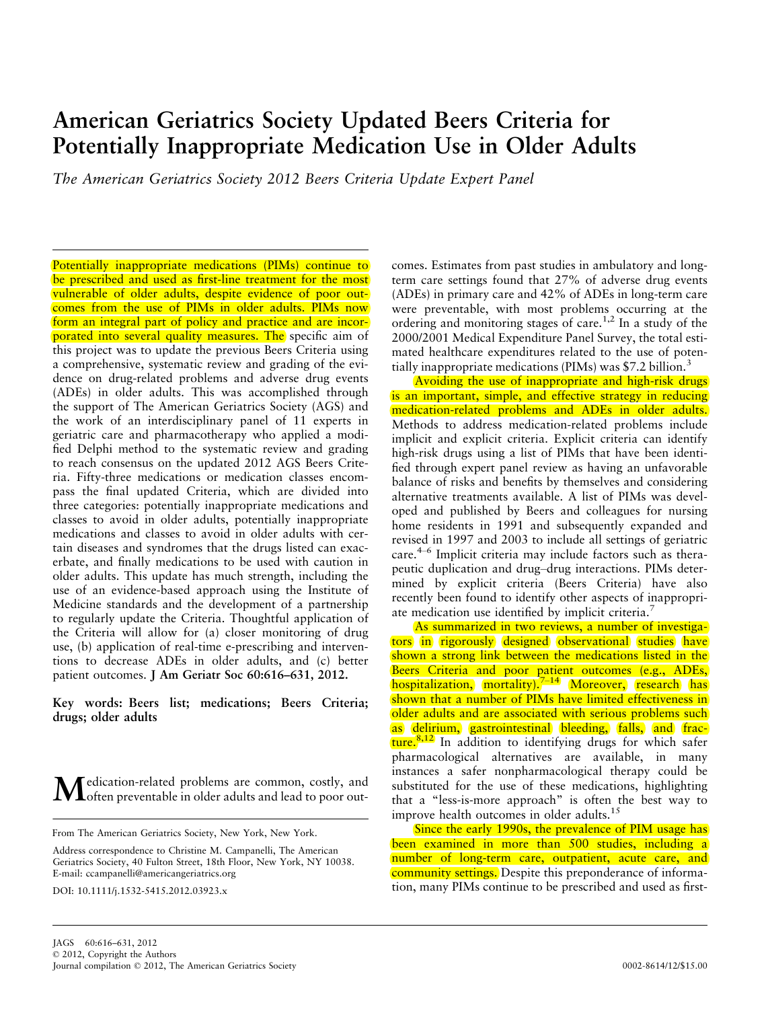# American Geriatrics Society Updated Beers Criteria for Potentially Inappropriate Medication Use in Older Adults

The American Geriatrics Society 2012 Beers Criteria Update Expert Panel

Potentially inappropriate medications (PIMs) continue to be prescribed and used as first-line treatment for the most vulnerable of older adults, despite evidence of poor outcomes from the use of PIMs in older adults. PIMs now form an integral part of policy and practice and are incorporated into several quality measures. The specific aim of this project was to update the previous Beers Criteria using a comprehensive, systematic review and grading of the evidence on drug-related problems and adverse drug events (ADEs) in older adults. This was accomplished through the support of The American Geriatrics Society (AGS) and the work of an interdisciplinary panel of 11 experts in geriatric care and pharmacotherapy who applied a modified Delphi method to the systematic review and grading to reach consensus on the updated 2012 AGS Beers Criteria. Fifty-three medications or medication classes encompass the final updated Criteria, which are divided into three categories: potentially inappropriate medications and classes to avoid in older adults, potentially inappropriate medications and classes to avoid in older adults with certain diseases and syndromes that the drugs listed can exacerbate, and finally medications to be used with caution in older adults. This update has much strength, including the use of an evidence-based approach using the Institute of Medicine standards and the development of a partnership to regularly update the Criteria. Thoughtful application of the Criteria will allow for (a) closer monitoring of drug use, (b) application of real-time e-prescribing and interventions to decrease ADEs in older adults, and (c) better patient outcomes. J Am Geriatr Soc 60:616–631, 2012.

Key words: Beers list; medications; Beers Criteria; drugs; older adults

 $\mathbf M$ edication-related problems are common, costly, and of often preventable in older adults and lead to poor out-

Address correspondence to Christine M. Campanelli, The American Geriatrics Society, 40 Fulton Street, 18th Floor, New York, NY 10038. E-mail: ccampanelli@americangeriatrics.org

DOI: 10.1111/j.1532-5415.2012.03923.x

comes. Estimates from past studies in ambulatory and longterm care settings found that 27% of adverse drug events (ADEs) in primary care and 42% of ADEs in long-term care were preventable, with most problems occurring at the ordering and monitoring stages of care.<sup>1,2</sup> In a study of the 2000/2001 Medical Expenditure Panel Survey, the total estimated healthcare expenditures related to the use of potentially inappropriate medications (PIMs) was  $$7.2$  billion.<sup>3</sup>

Avoiding the use of inappropriate and high-risk drugs is an important, simple, and effective strategy in reducing medication-related problems and ADEs in older adults. Methods to address medication-related problems include implicit and explicit criteria. Explicit criteria can identify high-risk drugs using a list of PIMs that have been identified through expert panel review as having an unfavorable balance of risks and benefits by themselves and considering alternative treatments available. A list of PIMs was developed and published by Beers and colleagues for nursing home residents in 1991 and subsequently expanded and revised in 1997 and 2003 to include all settings of geriatric care.4–<sup>6</sup> Implicit criteria may include factors such as therapeutic duplication and drug–drug interactions. PIMs determined by explicit criteria (Beers Criteria) have also recently been found to identify other aspects of inappropriate medication use identified by implicit criteria.<sup>7</sup>

As summarized in two reviews, a number of investigators in rigorously designed observational studies have shown a strong link between the medications listed in the Beers Criteria and poor patient outcomes (e.g., ADEs, hospitalization, mortality). $7-14$  Moreover, research has shown that a number of PIMs have limited effectiveness in older adults and are associated with serious problems such as delirium, gastrointestinal bleeding, falls, and frac $ture.<sup>8,12</sup>$  In addition to identifying drugs for which safer pharmacological alternatives are available, in many instances a safer nonpharmacological therapy could be substituted for the use of these medications, highlighting that a "less-is-more approach" is often the best way to improve health outcomes in older adults.<sup>15</sup>

Since the early 1990s, the prevalence of PIM usage has been examined in more than 500 studies, including a number of long-term care, outpatient, acute care, and community settings. Despite this preponderance of information, many PIMs continue to be prescribed and used as first-

From The American Geriatrics Society, New York, New York.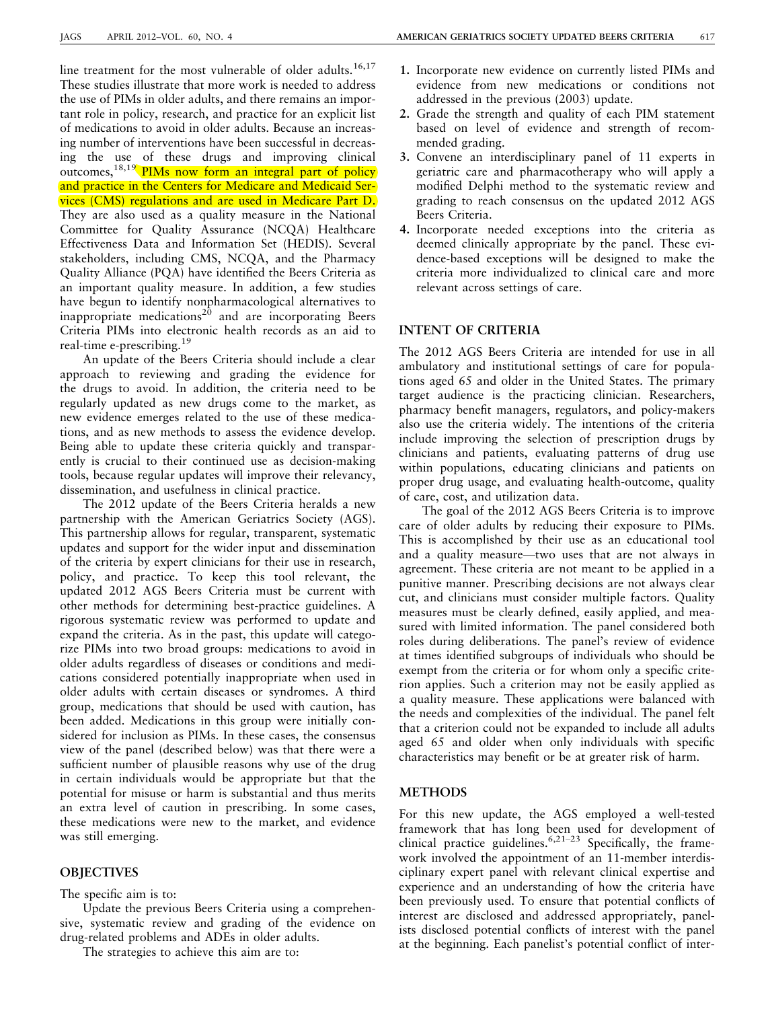line treatment for the most vulnerable of older adults.<sup>16,17</sup> These studies illustrate that more work is needed to address the use of PIMs in older adults, and there remains an important role in policy, research, and practice for an explicit list of medications to avoid in older adults. Because an increasing number of interventions have been successful in decreasing the use of these drugs and improving clinical outcomes,18,19 PIMs now form an integral part of policy and practice in the Centers for Medicare and Medicaid Services (CMS) regulations and are used in Medicare Part D. They are also used as a quality measure in the National Committee for Quality Assurance (NCQA) Healthcare Effectiveness Data and Information Set (HEDIS). Several stakeholders, including CMS, NCQA, and the Pharmacy Quality Alliance (PQA) have identified the Beers Criteria as an important quality measure. In addition, a few studies have begun to identify nonpharmacological alternatives to inappropriate medications<sup>20</sup> and are incorporating Beers Criteria PIMs into electronic health records as an aid to real-time e-prescribing.<sup>19</sup>

An update of the Beers Criteria should include a clear approach to reviewing and grading the evidence for the drugs to avoid. In addition, the criteria need to be regularly updated as new drugs come to the market, as new evidence emerges related to the use of these medications, and as new methods to assess the evidence develop. Being able to update these criteria quickly and transparently is crucial to their continued use as decision-making tools, because regular updates will improve their relevancy, dissemination, and usefulness in clinical practice.

The 2012 update of the Beers Criteria heralds a new partnership with the American Geriatrics Society (AGS). This partnership allows for regular, transparent, systematic updates and support for the wider input and dissemination of the criteria by expert clinicians for their use in research, policy, and practice. To keep this tool relevant, the updated 2012 AGS Beers Criteria must be current with other methods for determining best-practice guidelines. A rigorous systematic review was performed to update and expand the criteria. As in the past, this update will categorize PIMs into two broad groups: medications to avoid in older adults regardless of diseases or conditions and medications considered potentially inappropriate when used in older adults with certain diseases or syndromes. A third group, medications that should be used with caution, has been added. Medications in this group were initially considered for inclusion as PIMs. In these cases, the consensus view of the panel (described below) was that there were a sufficient number of plausible reasons why use of the drug in certain individuals would be appropriate but that the potential for misuse or harm is substantial and thus merits an extra level of caution in prescribing. In some cases, these medications were new to the market, and evidence was still emerging.

## **OBJECTIVES**

The specific aim is to:

Update the previous Beers Criteria using a comprehensive, systematic review and grading of the evidence on drug-related problems and ADEs in older adults.

The strategies to achieve this aim are to:

- 1. Incorporate new evidence on currently listed PIMs and evidence from new medications or conditions not addressed in the previous (2003) update.
- 2. Grade the strength and quality of each PIM statement based on level of evidence and strength of recommended grading.
- 3. Convene an interdisciplinary panel of 11 experts in geriatric care and pharmacotherapy who will apply a modified Delphi method to the systematic review and grading to reach consensus on the updated 2012 AGS Beers Criteria.
- 4. Incorporate needed exceptions into the criteria as deemed clinically appropriate by the panel. These evidence-based exceptions will be designed to make the criteria more individualized to clinical care and more relevant across settings of care.

# INTENT OF CRITERIA

The 2012 AGS Beers Criteria are intended for use in all ambulatory and institutional settings of care for populations aged 65 and older in the United States. The primary target audience is the practicing clinician. Researchers, pharmacy benefit managers, regulators, and policy-makers also use the criteria widely. The intentions of the criteria include improving the selection of prescription drugs by clinicians and patients, evaluating patterns of drug use within populations, educating clinicians and patients on proper drug usage, and evaluating health-outcome, quality of care, cost, and utilization data.

The goal of the 2012 AGS Beers Criteria is to improve care of older adults by reducing their exposure to PIMs. This is accomplished by their use as an educational tool and a quality measure—two uses that are not always in agreement. These criteria are not meant to be applied in a punitive manner. Prescribing decisions are not always clear cut, and clinicians must consider multiple factors. Quality measures must be clearly defined, easily applied, and measured with limited information. The panel considered both roles during deliberations. The panel's review of evidence at times identified subgroups of individuals who should be exempt from the criteria or for whom only a specific criterion applies. Such a criterion may not be easily applied as a quality measure. These applications were balanced with the needs and complexities of the individual. The panel felt that a criterion could not be expanded to include all adults aged 65 and older when only individuals with specific characteristics may benefit or be at greater risk of harm.

#### METHODS

For this new update, the AGS employed a well-tested framework that has long been used for development of clinical practice guidelines.<sup>6,21-23</sup> Specifically, the framework involved the appointment of an 11-member interdisciplinary expert panel with relevant clinical expertise and experience and an understanding of how the criteria have been previously used. To ensure that potential conflicts of interest are disclosed and addressed appropriately, panelists disclosed potential conflicts of interest with the panel at the beginning. Each panelist's potential conflict of inter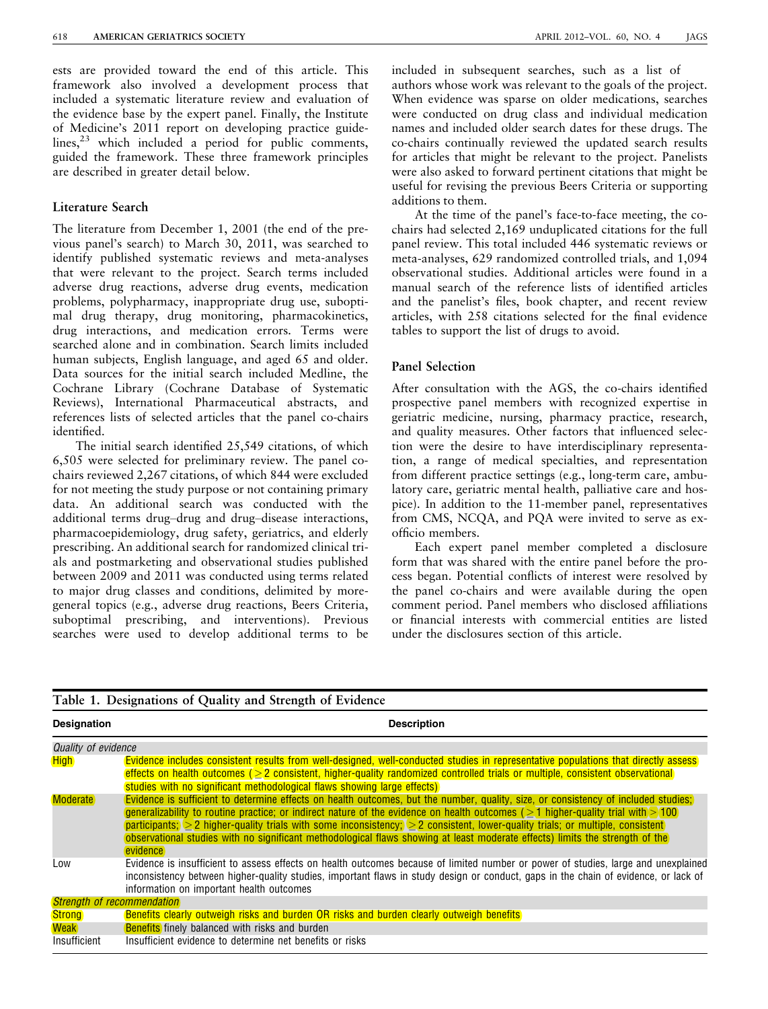ests are provided toward the end of this article. This framework also involved a development process that included a systematic literature review and evaluation of the evidence base by the expert panel. Finally, the Institute of Medicine's 2011 report on developing practice guidelines, $23$  which included a period for public comments, guided the framework. These three framework principles are described in greater detail below.

## Literature Search

The literature from December 1, 2001 (the end of the previous panel's search) to March 30, 2011, was searched to identify published systematic reviews and meta-analyses that were relevant to the project. Search terms included adverse drug reactions, adverse drug events, medication problems, polypharmacy, inappropriate drug use, suboptimal drug therapy, drug monitoring, pharmacokinetics, drug interactions, and medication errors. Terms were searched alone and in combination. Search limits included human subjects, English language, and aged 65 and older. Data sources for the initial search included Medline, the Cochrane Library (Cochrane Database of Systematic Reviews), International Pharmaceutical abstracts, and references lists of selected articles that the panel co-chairs identified.

The initial search identified 25,549 citations, of which 6,505 were selected for preliminary review. The panel cochairs reviewed 2,267 citations, of which 844 were excluded for not meeting the study purpose or not containing primary data. An additional search was conducted with the additional terms drug–drug and drug–disease interactions, pharmacoepidemiology, drug safety, geriatrics, and elderly prescribing. An additional search for randomized clinical trials and postmarketing and observational studies published between 2009 and 2011 was conducted using terms related to major drug classes and conditions, delimited by moregeneral topics (e.g., adverse drug reactions, Beers Criteria, suboptimal prescribing, and interventions). Previous searches were used to develop additional terms to be

included in subsequent searches, such as a list of authors whose work was relevant to the goals of the project. When evidence was sparse on older medications, searches were conducted on drug class and individual medication names and included older search dates for these drugs. The co-chairs continually reviewed the updated search results for articles that might be relevant to the project. Panelists were also asked to forward pertinent citations that might be useful for revising the previous Beers Criteria or supporting additions to them.

At the time of the panel's face-to-face meeting, the cochairs had selected 2,169 unduplicated citations for the full panel review. This total included 446 systematic reviews or meta-analyses, 629 randomized controlled trials, and 1,094 observational studies. Additional articles were found in a manual search of the reference lists of identified articles and the panelist's files, book chapter, and recent review articles, with 258 citations selected for the final evidence tables to support the list of drugs to avoid.

#### Panel Selection

After consultation with the AGS, the co-chairs identified prospective panel members with recognized expertise in geriatric medicine, nursing, pharmacy practice, research, and quality measures. Other factors that influenced selection were the desire to have interdisciplinary representation, a range of medical specialties, and representation from different practice settings (e.g., long-term care, ambulatory care, geriatric mental health, palliative care and hospice). In addition to the 11-member panel, representatives from CMS, NCQA, and PQA were invited to serve as exofficio members.

Each expert panel member completed a disclosure form that was shared with the entire panel before the process began. Potential conflicts of interest were resolved by the panel co-chairs and were available during the open comment period. Panel members who disclosed affiliations or financial interests with commercial entities are listed under the disclosures section of this article.

## Table 1. Designations of Quality and Strength of Evidence

| <b>Designation</b>                | <b>Description</b>                                                                                                                                                                                                                                                                                                                                                                                                                                                                                                                                          |
|-----------------------------------|-------------------------------------------------------------------------------------------------------------------------------------------------------------------------------------------------------------------------------------------------------------------------------------------------------------------------------------------------------------------------------------------------------------------------------------------------------------------------------------------------------------------------------------------------------------|
| Quality of evidence               |                                                                                                                                                                                                                                                                                                                                                                                                                                                                                                                                                             |
| <b>High</b>                       | Evidence includes consistent results from well-designed, well-conducted studies in representative populations that directly assess<br>effects on health outcomes ( $\geq 2$ consistent, higher-quality randomized controlled trials or multiple, consistent observational<br>studies with no significant methodological flaws showing large effects)                                                                                                                                                                                                        |
| <b>Moderate</b>                   | Evidence is sufficient to determine effects on health outcomes, but the number, quality, size, or consistency of included studies;<br>generalizability to routine practice; or indirect nature of the evidence on health outcomes ( $>1$ higher-quality trial with $>100$ )<br>participants; $>2$ higher-quality trials with some inconsistency; $>2$ consistent, lower-quality trials; or multiple, consistent<br>observational studies with no significant methodological flaws showing at least moderate effects) limits the strength of the<br>evidence |
| Low                               | Evidence is insufficient to assess effects on health outcomes because of limited number or power of studies, large and unexplained<br>inconsistency between higher-quality studies, important flaws in study design or conduct, gaps in the chain of evidence, or lack of<br>information on important health outcomes                                                                                                                                                                                                                                       |
| <b>Strength of recommendation</b> |                                                                                                                                                                                                                                                                                                                                                                                                                                                                                                                                                             |
| <b>Strong</b>                     | Benefits clearly outweigh risks and burden OR risks and burden clearly outweigh benefits                                                                                                                                                                                                                                                                                                                                                                                                                                                                    |
| <b>Weak</b>                       | <b>Benefits</b> finely balanced with risks and burden                                                                                                                                                                                                                                                                                                                                                                                                                                                                                                       |
| Insufficient                      | Insufficient evidence to determine net benefits or risks                                                                                                                                                                                                                                                                                                                                                                                                                                                                                                    |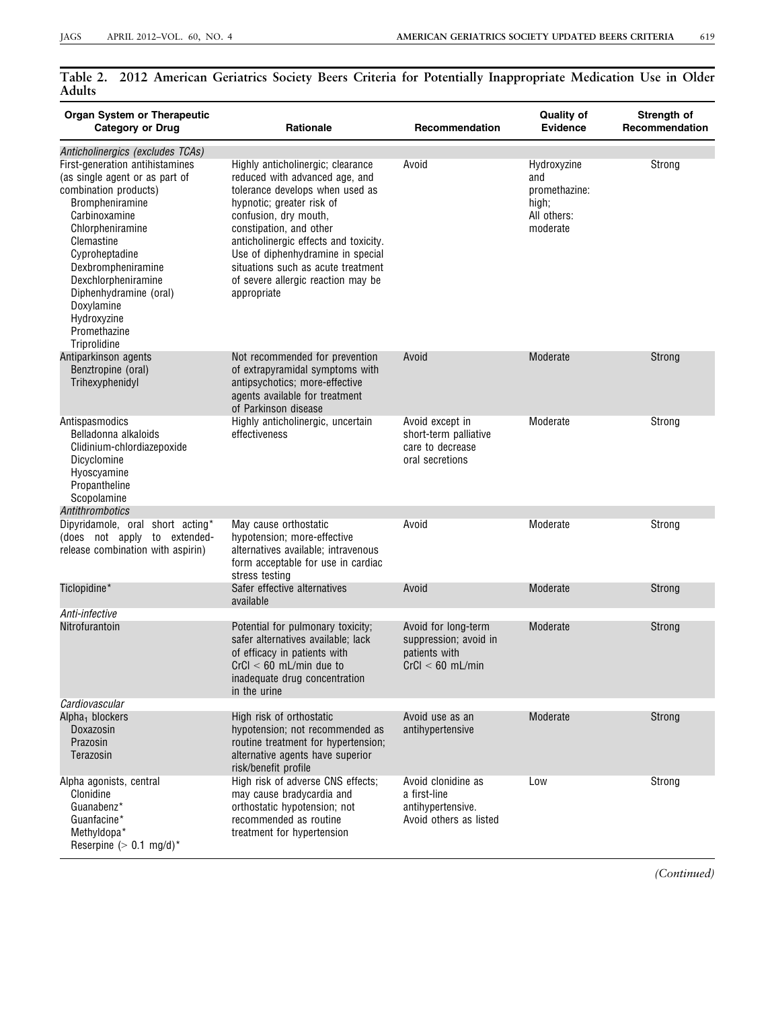| <b>Organ System or Therapeutic</b><br><b>Category or Drug</b>                                                                                                                                                                                                                                                                                              | Rationale                                                                                                                                                                                                                                                                                                                                                        | Recommendation                                                                      | <b>Quality of</b><br>Evidence                                           | Strength of<br>Recommendation |
|------------------------------------------------------------------------------------------------------------------------------------------------------------------------------------------------------------------------------------------------------------------------------------------------------------------------------------------------------------|------------------------------------------------------------------------------------------------------------------------------------------------------------------------------------------------------------------------------------------------------------------------------------------------------------------------------------------------------------------|-------------------------------------------------------------------------------------|-------------------------------------------------------------------------|-------------------------------|
| Anticholinergics (excludes TCAs)<br>First-generation antihistamines<br>(as single agent or as part of<br>combination products)<br>Brompheniramine<br>Carbinoxamine<br>Chlorpheniramine<br>Clemastine<br>Cyproheptadine<br>Dexbrompheniramine<br>Dexchlorpheniramine<br>Diphenhydramine (oral)<br>Doxylamine<br>Hydroxyzine<br>Promethazine<br>Triprolidine | Highly anticholinergic; clearance<br>reduced with advanced age, and<br>tolerance develops when used as<br>hypnotic; greater risk of<br>confusion, dry mouth,<br>constipation, and other<br>anticholinergic effects and toxicity.<br>Use of diphenhydramine in special<br>situations such as acute treatment<br>of severe allergic reaction may be<br>appropriate | Avoid                                                                               | Hydroxyzine<br>and<br>promethazine:<br>high;<br>All others:<br>moderate | Strong                        |
| Antiparkinson agents<br>Benztropine (oral)<br>Trihexyphenidyl                                                                                                                                                                                                                                                                                              | Not recommended for prevention<br>of extrapyramidal symptoms with<br>antipsychotics; more-effective<br>agents available for treatment<br>of Parkinson disease                                                                                                                                                                                                    | Avoid                                                                               | Moderate                                                                | Strong                        |
| Antispasmodics<br>Belladonna alkaloids<br>Clidinium-chlordiazepoxide<br>Dicyclomine<br>Hyoscyamine<br>Propantheline<br>Scopolamine                                                                                                                                                                                                                         | Highly anticholinergic, uncertain<br>effectiveness                                                                                                                                                                                                                                                                                                               | Avoid except in<br>short-term palliative<br>care to decrease<br>oral secretions     | Moderate                                                                | Strong                        |
| <b>Antithrombotics</b>                                                                                                                                                                                                                                                                                                                                     |                                                                                                                                                                                                                                                                                                                                                                  |                                                                                     |                                                                         |                               |
| Dipyridamole, oral short acting*<br>(does not apply to extended-<br>release combination with aspirin)                                                                                                                                                                                                                                                      | May cause orthostatic<br>hypotension; more-effective<br>alternatives available; intravenous<br>form acceptable for use in cardiac<br>stress testing                                                                                                                                                                                                              | Avoid                                                                               | Moderate                                                                | Strong                        |
| Ticlopidine*                                                                                                                                                                                                                                                                                                                                               | Safer effective alternatives<br>available                                                                                                                                                                                                                                                                                                                        | Avoid                                                                               | Moderate                                                                | Strong                        |
| Anti-infective                                                                                                                                                                                                                                                                                                                                             |                                                                                                                                                                                                                                                                                                                                                                  |                                                                                     |                                                                         |                               |
| Nitrofurantoin                                                                                                                                                                                                                                                                                                                                             | Potential for pulmonary toxicity;<br>safer alternatives available; lack<br>of efficacy in patients with<br>$CrCl < 60$ mL/min due to<br>inadequate drug concentration<br>in the urine                                                                                                                                                                            | Avoid for long-term<br>suppression; avoid in<br>patients with<br>$CrCl < 60$ mL/min | Moderate                                                                | Strong                        |
| Cardiovascular                                                                                                                                                                                                                                                                                                                                             |                                                                                                                                                                                                                                                                                                                                                                  |                                                                                     |                                                                         |                               |
| Alpha <sub>1</sub> blockers<br>Doxazosin<br>Prazosin<br>Terazosin                                                                                                                                                                                                                                                                                          | High risk of orthostatic<br>hypotension; not recommended as<br>routine treatment for hypertension;<br>alternative agents have superior<br>risk/benefit profile                                                                                                                                                                                                   | Avoid use as an<br>antihypertensive                                                 | Moderate                                                                | Strong                        |
| Alpha agonists, central<br>Clonidine<br>Guanabenz*<br>Guanfacine*<br>Methyldopa*<br>Reserpine $(> 0.1$ mg/d)*                                                                                                                                                                                                                                              | High risk of adverse CNS effects;<br>may cause bradycardia and<br>orthostatic hypotension; not<br>recommended as routine<br>treatment for hypertension                                                                                                                                                                                                           | Avoid clonidine as<br>a first-line<br>antihypertensive.<br>Avoid others as listed   | Low                                                                     | Strong                        |

# Table 2. 2012 American Geriatrics Society Beers Criteria for Potentially Inappropriate Medication Use in Older Adults

(Continued)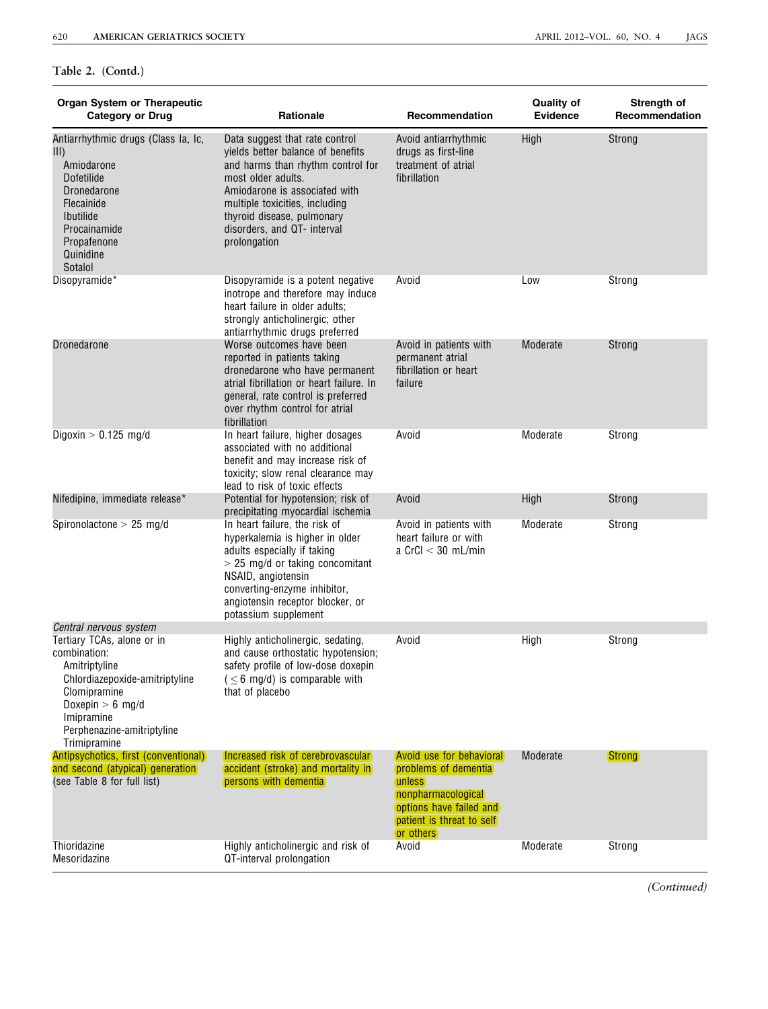| <b>Organ System or Therapeutic</b><br><b>Category or Drug</b>                                                                                                                                                             | <b>Rationale</b>                                                                                                                                                                                                                                                                          | Recommendation                                                                                                                                                        | <b>Quality of</b><br><b>Evidence</b> | Strength of<br>Recommendation |
|---------------------------------------------------------------------------------------------------------------------------------------------------------------------------------------------------------------------------|-------------------------------------------------------------------------------------------------------------------------------------------------------------------------------------------------------------------------------------------------------------------------------------------|-----------------------------------------------------------------------------------------------------------------------------------------------------------------------|--------------------------------------|-------------------------------|
| Antiarrhythmic drugs (Class Ia, Ic,<br>III)<br>Amiodarone<br><b>Dofetilide</b><br>Dronedarone<br>Flecainide<br><b>Ibutilide</b><br>Procainamide<br>Propafenone<br>Quinidine<br>Sotalol                                    | Data suggest that rate control<br>vields better balance of benefits<br>and harms than rhythm control for<br>most older adults.<br>Amiodarone is associated with<br>multiple toxicities, including<br>thyroid disease, pulmonary<br>disorders, and QT- interval<br>prolongation            | Avoid antiarrhythmic<br>drugs as first-line<br>treatment of atrial<br>fibrillation                                                                                    | High                                 | Strong                        |
| Disopyramide*                                                                                                                                                                                                             | Disopyramide is a potent negative<br>inotrope and therefore may induce<br>heart failure in older adults;<br>strongly anticholinergic; other<br>antiarrhythmic drugs preferred                                                                                                             | Avoid                                                                                                                                                                 | Low                                  | Strong                        |
| Dronedarone                                                                                                                                                                                                               | Worse outcomes have been<br>reported in patients taking<br>dronedarone who have permanent<br>atrial fibrillation or heart failure. In<br>general, rate control is preferred<br>over rhythm control for atrial<br>fibrillation                                                             | Avoid in patients with<br>permanent atrial<br>fibrillation or heart<br>failure                                                                                        | Moderate                             | Strong                        |
| Digoxin $> 0.125$ mg/d                                                                                                                                                                                                    | In heart failure, higher dosages<br>associated with no additional<br>benefit and may increase risk of<br>toxicity; slow renal clearance may<br>lead to risk of toxic effects                                                                                                              | Avoid                                                                                                                                                                 | Moderate                             | Strong                        |
| Nifedipine, immediate release*                                                                                                                                                                                            | Potential for hypotension; risk of                                                                                                                                                                                                                                                        | Avoid                                                                                                                                                                 | High                                 | Strong                        |
| Spironolactone $> 25$ mg/d                                                                                                                                                                                                | precipitating myocardial ischemia<br>In heart failure, the risk of<br>hyperkalemia is higher in older<br>adults especially if taking<br>> 25 mg/d or taking concomitant<br>NSAID, angiotensin<br>converting-enzyme inhibitor,<br>angiotensin receptor blocker, or<br>potassium supplement | Avoid in patients with<br>heart failure or with<br>a CrCl $<$ 30 mL/min                                                                                               | Moderate                             | Strong                        |
| Central nervous system<br>Tertiary TCAs, alone or in<br>combination:<br>Amitriptyline<br>Chlordiazepoxide-amitriptyline<br>Clomipramine<br>Doxepin $> 6$ mg/d<br>Imipramine<br>Perphenazine-amitriptyline<br>Trimipramine | Highly anticholinergic, sedating,<br>and cause orthostatic hypotension;<br>safety profile of low-dose doxepin<br>$(< 6$ mg/d) is comparable with<br>that of placebo                                                                                                                       | Avoid                                                                                                                                                                 | High                                 | Strong                        |
| Antipsychotics, first (conventional)<br>and second (atypical) generation<br>(see Table 8 for full list)                                                                                                                   | Increased risk of cerebrovascular)<br>accident (stroke) and mortality in<br>persons with dementia                                                                                                                                                                                         | <b>Avoid use for behavioral</b><br>problems of dementia<br><b>unless</b><br>nonpharmacological<br>options have failed and<br>patient is threat to self<br>(or others) | Moderate                             | <b>Strong</b>                 |
| Thioridazine<br>Mesoridazine                                                                                                                                                                                              | Highly anticholinergic and risk of<br>QT-interval prolongation                                                                                                                                                                                                                            | Avoid                                                                                                                                                                 | Moderate                             | Strong                        |

(Continued)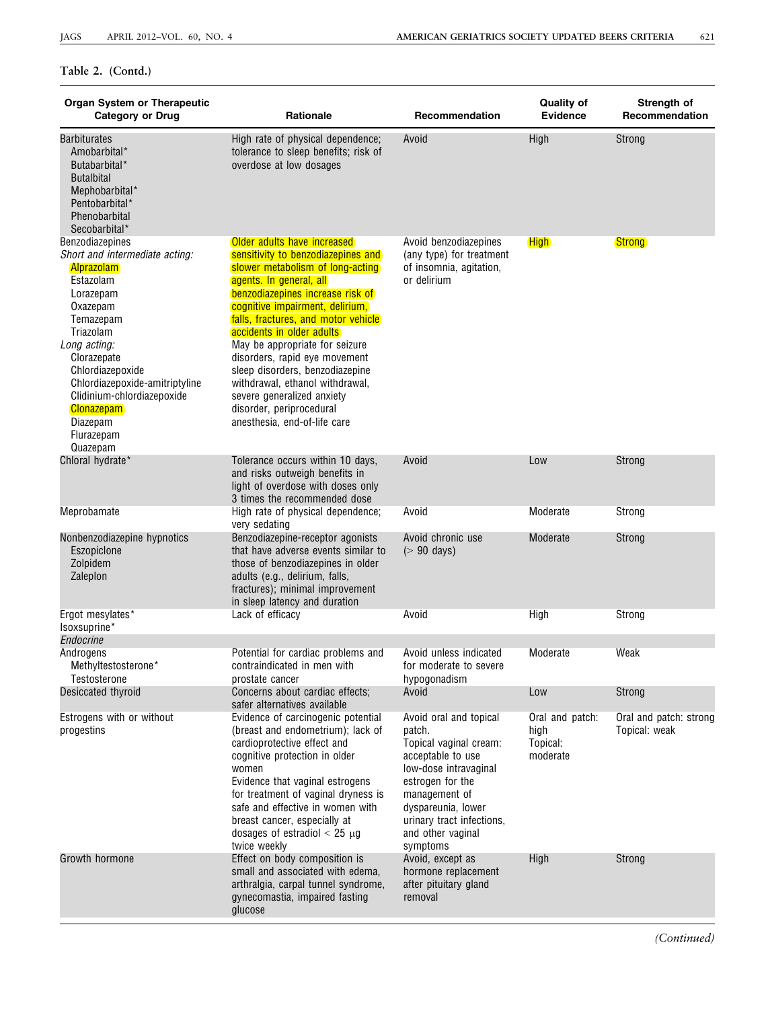| Organ System or Therapeutic<br><b>Category or Drug</b>                                                                                                                                                                                                                                                               | <b>Rationale</b>                                                                                                                                                                                                                                                                                                                                                                                                                                                                                               | Recommendation                                                                                                                                                                                                                    | <b>Quality of</b><br><b>Evidence</b>            | Strength of<br>Recommendation           |
|----------------------------------------------------------------------------------------------------------------------------------------------------------------------------------------------------------------------------------------------------------------------------------------------------------------------|----------------------------------------------------------------------------------------------------------------------------------------------------------------------------------------------------------------------------------------------------------------------------------------------------------------------------------------------------------------------------------------------------------------------------------------------------------------------------------------------------------------|-----------------------------------------------------------------------------------------------------------------------------------------------------------------------------------------------------------------------------------|-------------------------------------------------|-----------------------------------------|
| <b>Barbiturates</b><br>Amobarbital*<br>Butabarbital*<br><b>Butalbital</b><br>Mephobarbital*<br>Pentobarbital*<br>Phenobarbital<br>Secobarbital*                                                                                                                                                                      | High rate of physical dependence;<br>tolerance to sleep benefits; risk of<br>overdose at low dosages                                                                                                                                                                                                                                                                                                                                                                                                           | Avoid                                                                                                                                                                                                                             | High                                            | Strong                                  |
| Benzodiazepines<br>Short and intermediate acting:<br><b>Alprazolam</b><br>Estazolam<br>Lorazepam<br>Oxazepam<br>Temazepam<br>Triazolam<br>Long acting:<br>Clorazepate<br>Chlordiazepoxide<br>Chlordiazepoxide-amitriptyline<br>Clidinium-chlordiazepoxide<br><b>Clonazepam</b><br>Diazepam<br>Flurazepam<br>Quazepam | Older adults have increased<br>sensitivity to benzodiazepines and<br>slower metabolism of long-acting<br>agents. In general, all<br>benzodiazepines increase risk of<br>cognitive impairment, delirium,<br>falls, fractures, and motor vehicle<br>accidents in older adults<br>May be appropriate for seizure<br>disorders, rapid eye movement<br>sleep disorders, benzodiazepine<br>withdrawal, ethanol withdrawal,<br>severe generalized anxiety<br>disorder, periprocedural<br>anesthesia, end-of-life care | Avoid benzodiazepines<br>(any type) for treatment<br>of insomnia, agitation,<br>or delirium                                                                                                                                       | <b>High</b>                                     | <b>Strong</b>                           |
| Chloral hydrate*                                                                                                                                                                                                                                                                                                     | Tolerance occurs within 10 days,<br>and risks outweigh benefits in<br>light of overdose with doses only<br>3 times the recommended dose                                                                                                                                                                                                                                                                                                                                                                        | Avoid                                                                                                                                                                                                                             | Low                                             | Strong                                  |
| Meprobamate                                                                                                                                                                                                                                                                                                          | High rate of physical dependence;<br>very sedating                                                                                                                                                                                                                                                                                                                                                                                                                                                             | Avoid                                                                                                                                                                                                                             | Moderate                                        | Strong                                  |
| Nonbenzodiazepine hypnotics<br>Eszopiclone<br>Zolpidem<br>Zaleplon                                                                                                                                                                                                                                                   | Benzodiazepine-receptor agonists<br>that have adverse events similar to<br>those of benzodiazepines in older<br>adults (e.g., delirium, falls,<br>fractures); minimal improvement<br>in sleep latency and duration                                                                                                                                                                                                                                                                                             | Avoid chronic use<br>$(> 90$ days)                                                                                                                                                                                                | Moderate                                        | Strong                                  |
| Ergot mesylates*<br>Isoxsuprine*                                                                                                                                                                                                                                                                                     | Lack of efficacy                                                                                                                                                                                                                                                                                                                                                                                                                                                                                               | Avoid                                                                                                                                                                                                                             | High                                            | Strong                                  |
| Endocrine                                                                                                                                                                                                                                                                                                            |                                                                                                                                                                                                                                                                                                                                                                                                                                                                                                                |                                                                                                                                                                                                                                   |                                                 |                                         |
| Androgens<br>Methyltestosterone*<br>Testosterone                                                                                                                                                                                                                                                                     | Potential for cardiac problems and<br>contraindicated in men with<br>prostate cancer                                                                                                                                                                                                                                                                                                                                                                                                                           | Avoid unless indicated<br>for moderate to severe<br>hypogonadism                                                                                                                                                                  | Moderate                                        | Weak                                    |
| Desiccated thyroid                                                                                                                                                                                                                                                                                                   | Concerns about cardiac effects;<br>safer alternatives available                                                                                                                                                                                                                                                                                                                                                                                                                                                | Avoid                                                                                                                                                                                                                             | Low                                             | Strong                                  |
| Estrogens with or without<br>progestins                                                                                                                                                                                                                                                                              | Evidence of carcinogenic potential<br>(breast and endometrium); lack of<br>cardioprotective effect and<br>cognitive protection in older<br>women<br>Evidence that vaginal estrogens<br>for treatment of vaginal dryness is<br>safe and effective in women with<br>breast cancer, especially at<br>dosages of estradiol $<$ 25 $\mu$ g<br>twice weekly                                                                                                                                                          | Avoid oral and topical<br>patch.<br>Topical vaginal cream:<br>acceptable to use<br>low-dose intravaginal<br>estrogen for the<br>management of<br>dyspareunia, lower<br>urinary tract infections,<br>and other vaginal<br>symptoms | Oral and patch:<br>high<br>Topical:<br>moderate | Oral and patch: strong<br>Topical: weak |
| Growth hormone                                                                                                                                                                                                                                                                                                       | Effect on body composition is<br>small and associated with edema,<br>arthralgia, carpal tunnel syndrome,<br>gynecomastia, impaired fasting<br>glucose                                                                                                                                                                                                                                                                                                                                                          | Avoid, except as<br>hormone replacement<br>after pituitary gland<br>removal                                                                                                                                                       | High                                            | Strong                                  |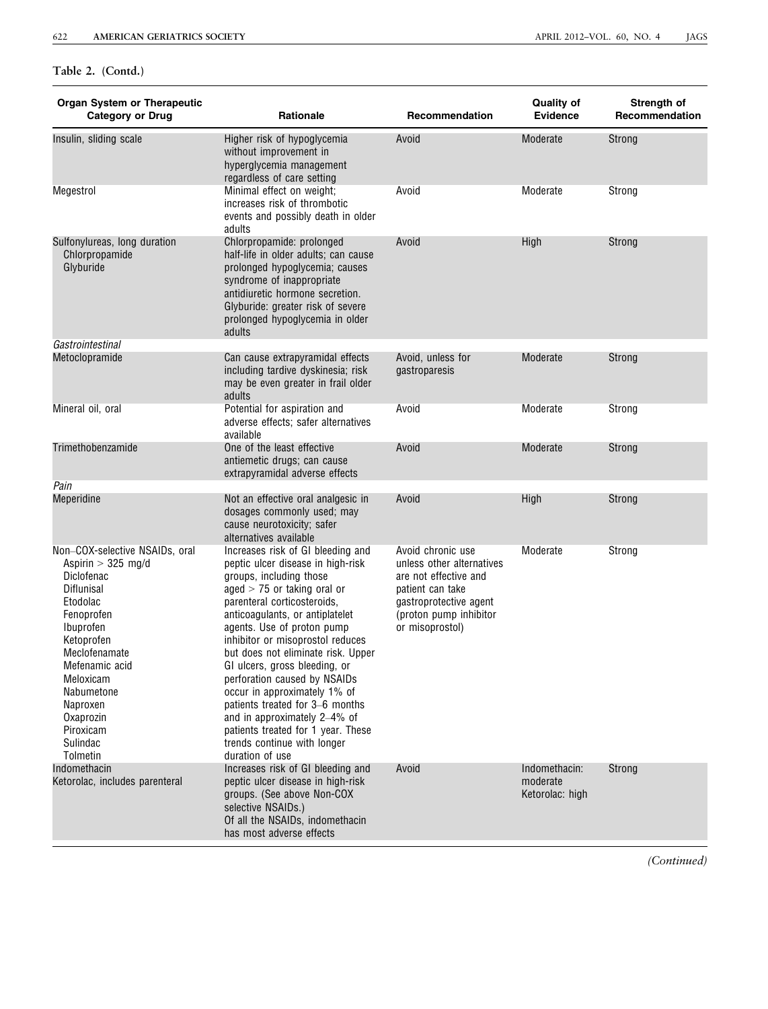| Organ System or Therapeutic<br><b>Category or Drug</b>                                                                                                                                                                                                                     | Rationale                                                                                                                                                                                                                                                                                                                                                                                                                                                                                                                                                                | Recommendation                                                                                                                                                     | <b>Quality of</b><br><b>Evidence</b>         | Strength of<br>Recommendation |
|----------------------------------------------------------------------------------------------------------------------------------------------------------------------------------------------------------------------------------------------------------------------------|--------------------------------------------------------------------------------------------------------------------------------------------------------------------------------------------------------------------------------------------------------------------------------------------------------------------------------------------------------------------------------------------------------------------------------------------------------------------------------------------------------------------------------------------------------------------------|--------------------------------------------------------------------------------------------------------------------------------------------------------------------|----------------------------------------------|-------------------------------|
| Insulin, sliding scale                                                                                                                                                                                                                                                     | Higher risk of hypoglycemia<br>without improvement in<br>hyperglycemia management<br>regardless of care setting                                                                                                                                                                                                                                                                                                                                                                                                                                                          | Avoid                                                                                                                                                              | Moderate                                     | Strong                        |
| Megestrol                                                                                                                                                                                                                                                                  | Minimal effect on weight;<br>increases risk of thrombotic<br>events and possibly death in older<br>adults                                                                                                                                                                                                                                                                                                                                                                                                                                                                | Avoid                                                                                                                                                              | Moderate                                     | Strong                        |
| Sulfonylureas, long duration<br>Chlorpropamide<br>Glyburide                                                                                                                                                                                                                | Chlorpropamide: prolonged<br>half-life in older adults; can cause<br>prolonged hypoglycemia; causes<br>syndrome of inappropriate<br>antidiuretic hormone secretion.<br>Glyburide: greater risk of severe<br>prolonged hypoglycemia in older<br>adults                                                                                                                                                                                                                                                                                                                    | Avoid                                                                                                                                                              | High                                         | Strong                        |
| Gastrointestinal                                                                                                                                                                                                                                                           |                                                                                                                                                                                                                                                                                                                                                                                                                                                                                                                                                                          |                                                                                                                                                                    |                                              |                               |
| Metoclopramide                                                                                                                                                                                                                                                             | Can cause extrapyramidal effects<br>including tardive dyskinesia; risk<br>may be even greater in frail older<br>adults                                                                                                                                                                                                                                                                                                                                                                                                                                                   | Avoid, unless for<br>gastroparesis                                                                                                                                 | Moderate                                     | Strong                        |
| Mineral oil, oral                                                                                                                                                                                                                                                          | Potential for aspiration and<br>adverse effects; safer alternatives<br>available                                                                                                                                                                                                                                                                                                                                                                                                                                                                                         | Avoid                                                                                                                                                              | Moderate                                     | Strong                        |
| Trimethobenzamide                                                                                                                                                                                                                                                          | One of the least effective<br>antiemetic drugs; can cause<br>extrapyramidal adverse effects                                                                                                                                                                                                                                                                                                                                                                                                                                                                              | Avoid                                                                                                                                                              | Moderate                                     | Strong                        |
| Pain                                                                                                                                                                                                                                                                       |                                                                                                                                                                                                                                                                                                                                                                                                                                                                                                                                                                          |                                                                                                                                                                    |                                              |                               |
| <b>Meperidine</b>                                                                                                                                                                                                                                                          | Not an effective oral analgesic in<br>dosages commonly used; may<br>cause neurotoxicity; safer<br>alternatives available                                                                                                                                                                                                                                                                                                                                                                                                                                                 | Avoid                                                                                                                                                              | High                                         | Strong                        |
| Non-COX-selective NSAIDs, oral<br>Aspirin $> 325$ mg/d<br>Diclofenac<br><b>Diflunisal</b><br>Etodolac<br>Fenoprofen<br>Ibuprofen<br>Ketoprofen<br>Meclofenamate<br>Mefenamic acid<br>Meloxicam<br>Nabumetone<br>Naproxen<br>Oxaprozin<br>Piroxicam<br>Sulindac<br>Tolmetin | Increases risk of GI bleeding and<br>peptic ulcer disease in high-risk<br>groups, including those<br>aged $>$ 75 or taking oral or<br>parenteral corticosteroids,<br>anticoagulants, or antiplatelet<br>agents. Use of proton pump<br>inhibitor or misoprostol reduces<br>but does not eliminate risk. Upper<br>GI ulcers, gross bleeding, or<br>perforation caused by NSAIDs<br>occur in approximately 1% of<br>patients treated for 3-6 months<br>and in approximately 2-4% of<br>patients treated for 1 year. These<br>trends continue with longer<br>duration of use | Avoid chronic use<br>unless other alternatives<br>are not effective and<br>patient can take<br>gastroprotective agent<br>(proton pump inhibitor<br>or misoprostol) | Moderate                                     | Strong                        |
| Indomethacin<br>Ketorolac, includes parenteral                                                                                                                                                                                                                             | Increases risk of GI bleeding and<br>peptic ulcer disease in high-risk<br>groups. (See above Non-COX<br>selective NSAIDs.)<br>Of all the NSAIDs, indomethacin<br>has most adverse effects                                                                                                                                                                                                                                                                                                                                                                                | Avoid                                                                                                                                                              | Indomethacin:<br>moderate<br>Ketorolac: high | Strong                        |

(Continued)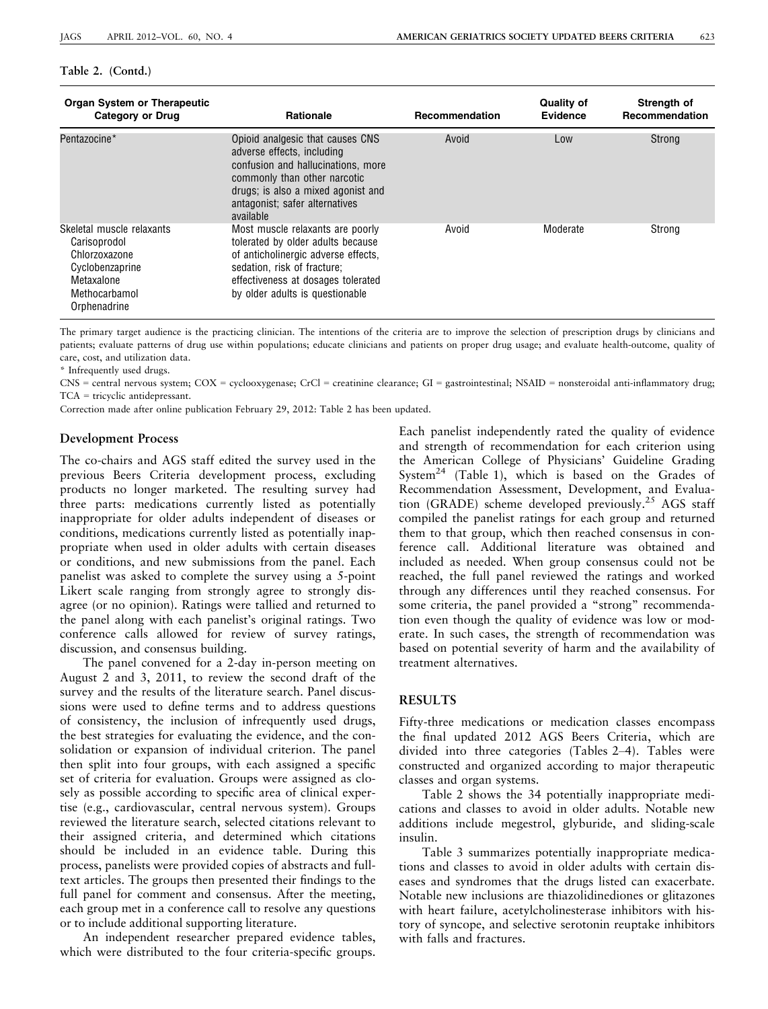| Organ System or Therapeutic<br><b>Category or Drug</b>                                                                       | <b>Rationale</b>                                                                                                                                                                                                          | Recommendation | <b>Quality of</b><br>Evidence | Strength of<br>Recommendation |
|------------------------------------------------------------------------------------------------------------------------------|---------------------------------------------------------------------------------------------------------------------------------------------------------------------------------------------------------------------------|----------------|-------------------------------|-------------------------------|
| Pentazocine*                                                                                                                 | Opioid analgesic that causes CNS<br>adverse effects, including<br>confusion and hallucinations, more<br>commonly than other narcotic<br>drugs; is also a mixed agonist and<br>antagonist; safer alternatives<br>available | Avoid          | Low                           | Strong                        |
| Skeletal muscle relaxants<br>Carisoprodol<br>Chlorzoxazone<br>Cyclobenzaprine<br>Metaxalone<br>Methocarbamol<br>Orphenadrine | Most muscle relaxants are poorly<br>tolerated by older adults because<br>of anticholinergic adverse effects,<br>sedation, risk of fracture;<br>effectiveness at dosages tolerated<br>by older adults is questionable      | Avoid          | Moderate                      | Strong                        |

The primary target audience is the practicing clinician. The intentions of the criteria are to improve the selection of prescription drugs by clinicians and patients; evaluate patterns of drug use within populations; educate clinicians and patients on proper drug usage; and evaluate health-outcome, quality of care, cost, and utilization data.

\* Infrequently used drugs.

CNS = central nervous system; COX = cyclooxygenase; CrCl = creatinine clearance; GI = gastrointestinal; NSAID = nonsteroidal anti-inflammatory drug; TCA = tricyclic antidepressant.

Correction made after online publication February 29, 2012: Table 2 has been updated.

#### Development Process

The co-chairs and AGS staff edited the survey used in the previous Beers Criteria development process, excluding products no longer marketed. The resulting survey had three parts: medications currently listed as potentially inappropriate for older adults independent of diseases or conditions, medications currently listed as potentially inappropriate when used in older adults with certain diseases or conditions, and new submissions from the panel. Each panelist was asked to complete the survey using a 5-point Likert scale ranging from strongly agree to strongly disagree (or no opinion). Ratings were tallied and returned to the panel along with each panelist's original ratings. Two conference calls allowed for review of survey ratings, discussion, and consensus building.

The panel convened for a 2-day in-person meeting on August 2 and 3, 2011, to review the second draft of the survey and the results of the literature search. Panel discussions were used to define terms and to address questions of consistency, the inclusion of infrequently used drugs, the best strategies for evaluating the evidence, and the consolidation or expansion of individual criterion. The panel then split into four groups, with each assigned a specific set of criteria for evaluation. Groups were assigned as closely as possible according to specific area of clinical expertise (e.g., cardiovascular, central nervous system). Groups reviewed the literature search, selected citations relevant to their assigned criteria, and determined which citations should be included in an evidence table. During this process, panelists were provided copies of abstracts and fulltext articles. The groups then presented their findings to the full panel for comment and consensus. After the meeting, each group met in a conference call to resolve any questions or to include additional supporting literature.

An independent researcher prepared evidence tables, which were distributed to the four criteria-specific groups. Each panelist independently rated the quality of evidence and strength of recommendation for each criterion using the American College of Physicians' Guideline Grading System<sup>24</sup> (Table 1), which is based on the Grades of Recommendation Assessment, Development, and Evaluation (GRADE) scheme developed previously.<sup>25</sup> AGS staff compiled the panelist ratings for each group and returned them to that group, which then reached consensus in conference call. Additional literature was obtained and included as needed. When group consensus could not be reached, the full panel reviewed the ratings and worked through any differences until they reached consensus. For some criteria, the panel provided a "strong" recommendation even though the quality of evidence was low or moderate. In such cases, the strength of recommendation was based on potential severity of harm and the availability of treatment alternatives.

## **RESULTS**

Fifty-three medications or medication classes encompass the final updated 2012 AGS Beers Criteria, which are divided into three categories (Tables 2–4). Tables were constructed and organized according to major therapeutic classes and organ systems.

Table 2 shows the 34 potentially inappropriate medications and classes to avoid in older adults. Notable new additions include megestrol, glyburide, and sliding-scale insulin.

Table 3 summarizes potentially inappropriate medications and classes to avoid in older adults with certain diseases and syndromes that the drugs listed can exacerbate. Notable new inclusions are thiazolidinediones or glitazones with heart failure, acetylcholinesterase inhibitors with history of syncope, and selective serotonin reuptake inhibitors with falls and fractures.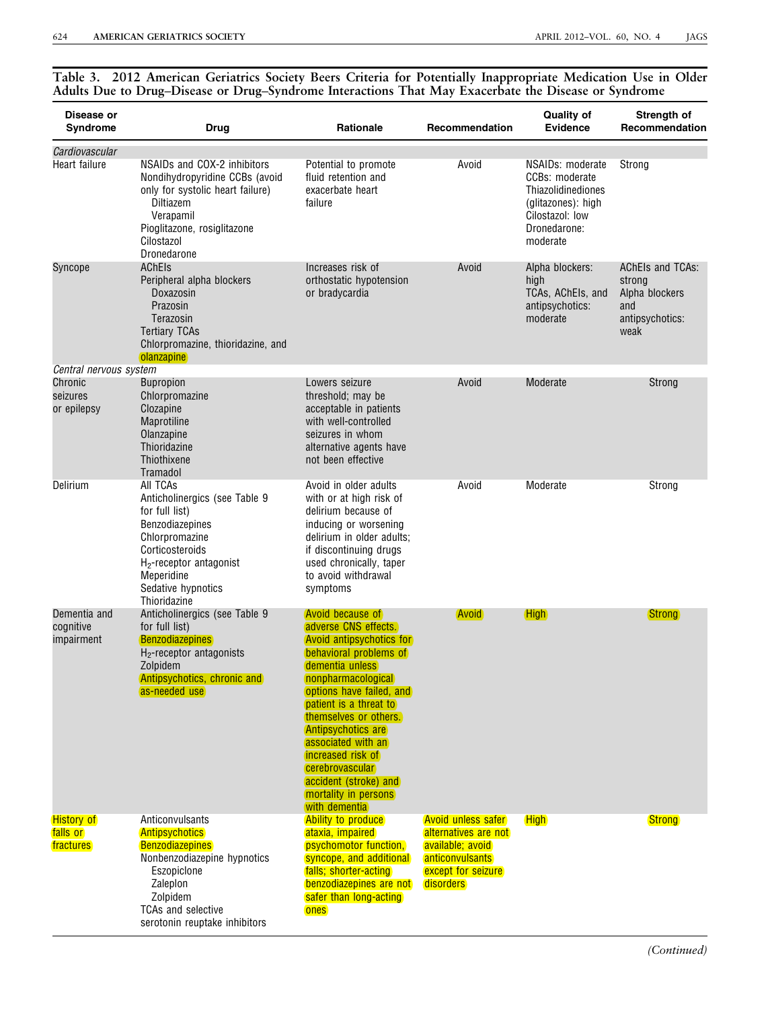# Table 3. 2012 American Geriatrics Society Beers Criteria for Potentially Inappropriate Medication Use in Older Adults Due to Drug–Disease or Drug–Syndrome Interactions That May Exacerbate the Disease or Syndrome

| Disease or<br>Syndrome                     | Drug                                                                                                                                                                                                  | <b>Rationale</b>                                                                                                                                                                                                                                                                                                                                                                                  | Recommendation                                                                                                              | <b>Quality of</b><br><b>Evidence</b>                                                                                          | Strength of<br>Recommendation                                                  |
|--------------------------------------------|-------------------------------------------------------------------------------------------------------------------------------------------------------------------------------------------------------|---------------------------------------------------------------------------------------------------------------------------------------------------------------------------------------------------------------------------------------------------------------------------------------------------------------------------------------------------------------------------------------------------|-----------------------------------------------------------------------------------------------------------------------------|-------------------------------------------------------------------------------------------------------------------------------|--------------------------------------------------------------------------------|
| Cardiovascular<br>Heart failure            | NSAIDs and COX-2 inhibitors<br>Nondihydropyridine CCBs (avoid<br>only for systolic heart failure)<br><b>Diltiazem</b><br>Verapamil<br>Pioglitazone, rosiglitazone<br>Cilostazol<br>Dronedarone        | Potential to promote<br>fluid retention and<br>exacerbate heart<br>failure                                                                                                                                                                                                                                                                                                                        | Avoid                                                                                                                       | NSAIDs: moderate<br>CCBs: moderate<br>Thiazolidinediones<br>(glitazones): high<br>Cilostazol: low<br>Dronedarone:<br>moderate | Strong                                                                         |
| Syncope                                    | <b>AChEIS</b><br>Peripheral alpha blockers<br>Doxazosin<br>Prazosin<br>Terazosin<br><b>Tertiary TCAs</b><br>Chlorpromazine, thioridazine, and<br>olanzapine                                           | Increases risk of<br>orthostatic hypotension<br>or bradycardia                                                                                                                                                                                                                                                                                                                                    | Avoid                                                                                                                       | Alpha blockers:<br>high<br>TCAs, AChEIs, and<br>antipsychotics:<br>moderate                                                   | AChEIs and TCAs:<br>strong<br>Alpha blockers<br>and<br>antipsychotics:<br>weak |
| Central nervous system                     |                                                                                                                                                                                                       |                                                                                                                                                                                                                                                                                                                                                                                                   |                                                                                                                             |                                                                                                                               |                                                                                |
| Chronic<br>seizures<br>or epilepsy         | <b>Bupropion</b><br>Chlorpromazine<br>Clozapine<br>Maprotiline<br>Olanzapine<br>Thioridazine<br>Thiothixene<br>Tramadol                                                                               | Lowers seizure<br>threshold; may be<br>acceptable in patients<br>with well-controlled<br>seizures in whom<br>alternative agents have<br>not been effective                                                                                                                                                                                                                                        | Avoid                                                                                                                       | Moderate                                                                                                                      | Strong                                                                         |
| Delirium                                   | AII TCAS<br>Anticholinergics (see Table 9<br>for full list)<br>Benzodiazepines<br>Chlorpromazine<br>Corticosteroids<br>$H_2$ -receptor antagonist<br>Meperidine<br>Sedative hypnotics<br>Thioridazine | Avoid in older adults<br>with or at high risk of<br>delirium because of<br>inducing or worsening<br>delirium in older adults;<br>if discontinuing drugs<br>used chronically, taper<br>to avoid withdrawal<br>symptoms                                                                                                                                                                             | Avoid                                                                                                                       | Moderate                                                                                                                      | Strong                                                                         |
| Dementia and<br>cognitive<br>impairment    | Anticholinergics (see Table 9<br>for full list)<br><b>Benzodiazepines</b><br>$H_2$ -receptor antagonists<br>Zolpidem<br>Antipsychotics, chronic and<br>as-needed use                                  | <b>Avoid because of</b><br>adverse CNS effects.<br><b>Avoid antipsychotics for</b><br>behavioral problems of<br>dementia unless<br>nonpharmacological<br>options have failed, and<br>patient is a threat to<br>themselves or others.<br><b>Antipsychotics are</b><br>associated with an<br>increased risk of<br>cerebrovascular<br>accident (stroke) and<br>mortality in persons<br>with dementia | <b>Avoid</b>                                                                                                                | (High)                                                                                                                        | <b>Strong</b>                                                                  |
| <b>History of</b><br>falls or<br>fractures | Anticonvulsants<br><b>Antipsychotics</b><br><b>Benzodiazepines</b><br>Nonbenzodiazepine hypnotics<br>Eszopiclone<br>Zaleplon<br>Zolpidem<br>TCAs and selective<br>serotonin reuptake inhibitors       | Ability to produce<br>ataxia, impaired<br>psychomotor function,<br>syncope, and additional<br>falls; shorter-acting<br>benzodiazepines are not<br>safer than long-acting<br><b>ones</b>                                                                                                                                                                                                           | <b>Avoid unless safer</b><br>alternatives are not<br>available; avoid<br>anticonvulsants<br>except for seizure<br>disorders | <b>High</b>                                                                                                                   | <b>Strong</b>                                                                  |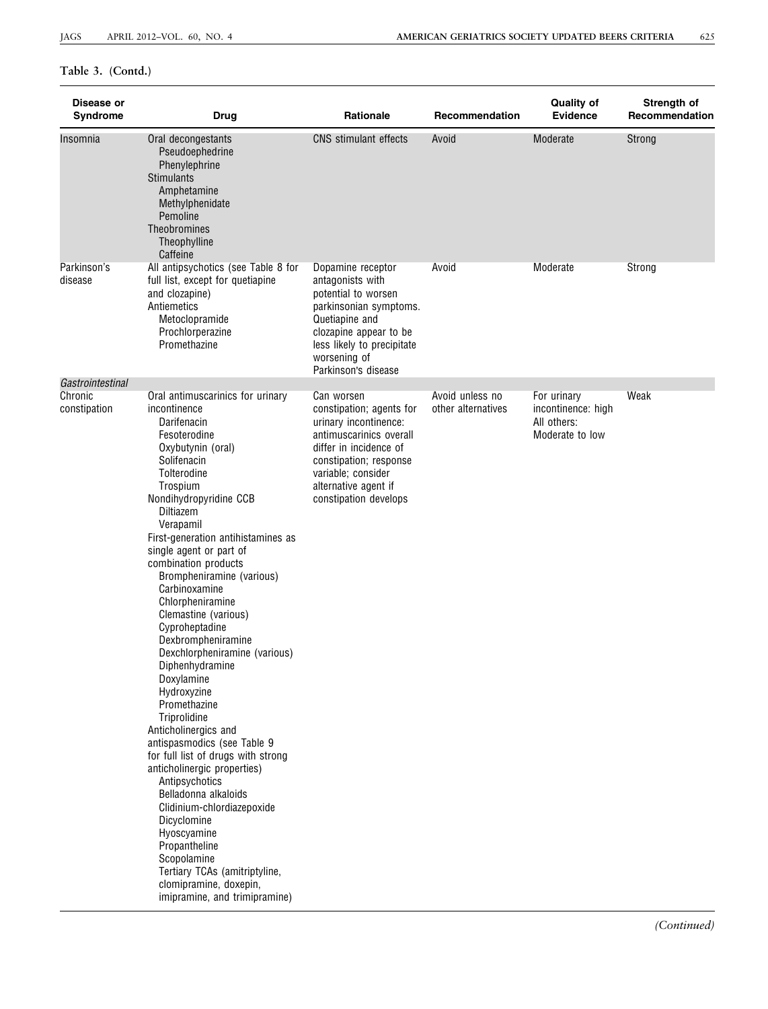| Disease or<br>Syndrome                      | <b>Drug</b>                                                                                                                                                                                                                                                                                                                                                                                                                                                                                                                                                                                                                                                                                                                                                                                                                                                                                                  | Rationale                                                                                                                                                                                                             | Recommendation                        | <b>Quality of</b><br><b>Evidence</b>                                | Strength of<br>Recommendation |
|---------------------------------------------|--------------------------------------------------------------------------------------------------------------------------------------------------------------------------------------------------------------------------------------------------------------------------------------------------------------------------------------------------------------------------------------------------------------------------------------------------------------------------------------------------------------------------------------------------------------------------------------------------------------------------------------------------------------------------------------------------------------------------------------------------------------------------------------------------------------------------------------------------------------------------------------------------------------|-----------------------------------------------------------------------------------------------------------------------------------------------------------------------------------------------------------------------|---------------------------------------|---------------------------------------------------------------------|-------------------------------|
| Insomnia                                    | Oral decongestants<br>Pseudoephedrine<br>Phenylephrine<br><b>Stimulants</b><br>Amphetamine<br>Methylphenidate<br>Pemoline<br><b>Theobromines</b><br>Theophylline<br>Caffeine                                                                                                                                                                                                                                                                                                                                                                                                                                                                                                                                                                                                                                                                                                                                 | CNS stimulant effects                                                                                                                                                                                                 | Avoid                                 | Moderate                                                            | Strong                        |
| Parkinson's<br>disease                      | All antipsychotics (see Table 8 for<br>full list, except for quetiapine<br>and clozapine)<br>Antiemetics<br>Metoclopramide<br>Prochlorperazine<br>Promethazine                                                                                                                                                                                                                                                                                                                                                                                                                                                                                                                                                                                                                                                                                                                                               | Dopamine receptor<br>antagonists with<br>potential to worsen<br>parkinsonian symptoms.<br>Quetiapine and<br>clozapine appear to be<br>less likely to precipitate<br>worsening of<br>Parkinson's disease               | Avoid                                 | Moderate                                                            | Strong                        |
| Gastrointestinal<br>Chronic<br>constipation | Oral antimuscarinics for urinary<br>incontinence<br>Darifenacin<br>Fesoterodine<br>Oxybutynin (oral)<br>Solifenacin<br>Tolterodine<br>Trospium<br>Nondihydropyridine CCB<br>Diltiazem<br>Verapamil<br>First-generation antihistamines as<br>single agent or part of<br>combination products<br>Brompheniramine (various)<br>Carbinoxamine<br>Chlorpheniramine<br>Clemastine (various)<br>Cyproheptadine<br>Dexbrompheniramine<br>Dexchlorpheniramine (various)<br>Diphenhydramine<br>Doxylamine<br>Hydroxyzine<br>Promethazine<br>Triprolidine<br>Anticholinergics and<br>antispasmodics (see Table 9<br>for full list of drugs with strong<br>anticholinergic properties)<br>Antipsychotics<br>Belladonna alkaloids<br>Clidinium-chlordiazepoxide<br>Dicyclomine<br>Hyoscyamine<br>Propantheline<br>Scopolamine<br>Tertiary TCAs (amitriptyline,<br>clomipramine, doxepin,<br>imipramine, and trimipramine) | Can worsen<br>constipation; agents for<br>urinary incontinence:<br>antimuscarinics overall<br>differ in incidence of<br>constipation; response<br>variable; consider<br>alternative agent if<br>constipation develops | Avoid unless no<br>other alternatives | For urinary<br>incontinence: high<br>All others:<br>Moderate to low | Weak                          |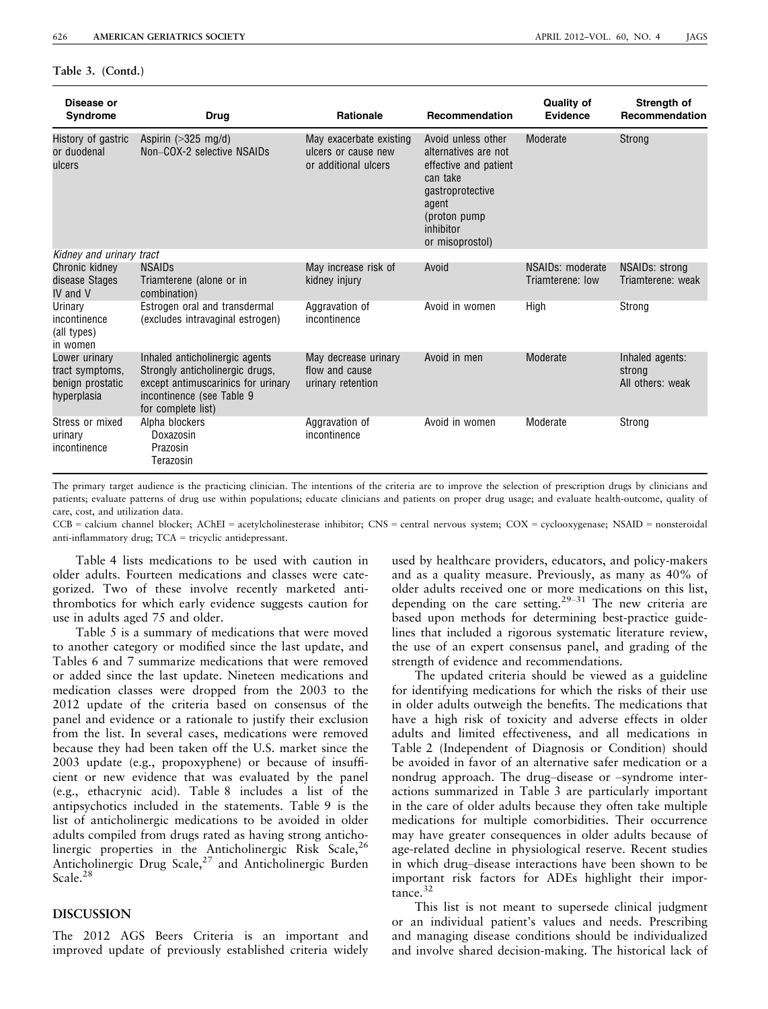| Disease or<br><b>Syndrome</b>                                       | Drug                                                                                                                                                       | <b>Rationale</b>                                                       | Recommendation                                                                                                                                                | <b>Quality of</b><br><b>Evidence</b> | Strength of<br>Recommendation                 |
|---------------------------------------------------------------------|------------------------------------------------------------------------------------------------------------------------------------------------------------|------------------------------------------------------------------------|---------------------------------------------------------------------------------------------------------------------------------------------------------------|--------------------------------------|-----------------------------------------------|
| History of gastric<br>or duodenal<br>ulcers                         | Aspirin $(>325 \text{ mg/d})$<br>Non-COX-2 selective NSAIDs                                                                                                | May exacerbate existing<br>ulcers or cause new<br>or additional ulcers | Avoid unless other<br>alternatives are not<br>effective and patient<br>can take<br>gastroprotective<br>agent<br>(proton pump)<br>inhibitor<br>or misoprostol) | Moderate                             | Strong                                        |
| Kidney and urinary tract                                            |                                                                                                                                                            |                                                                        |                                                                                                                                                               |                                      |                                               |
| Chronic kidney<br>disease Stages<br>IV and V                        | <b>NSAIDs</b><br>Triamterene (alone or in<br>combination)                                                                                                  | May increase risk of<br>kidney injury                                  | Avoid                                                                                                                                                         | NSAIDs: moderate<br>Triamterene: low | NSAIDs: strong<br>Triamterene: weak           |
| Urinary<br>incontinence<br>(all types)<br>in women                  | Estrogen oral and transdermal<br>(excludes intravaginal estrogen)                                                                                          | Aggravation of<br>incontinence                                         | Avoid in women                                                                                                                                                | High                                 | Strong                                        |
| Lower urinary<br>tract symptoms,<br>benign prostatic<br>hyperplasia | Inhaled anticholinergic agents<br>Strongly anticholinergic drugs,<br>except antimuscarinics for urinary<br>incontinence (see Table 9<br>for complete list) | May decrease urinary<br>flow and cause<br>urinary retention            | Avoid in men                                                                                                                                                  | Moderate                             | Inhaled agents:<br>strong<br>All others: weak |
| Stress or mixed<br>urinary<br>incontinence                          | Alpha blockers<br>Doxazosin<br>Prazosin<br>Terazosin                                                                                                       | Aggravation of<br>incontinence                                         | Avoid in women                                                                                                                                                | Moderate                             | Strong                                        |

The primary target audience is the practicing clinician. The intentions of the criteria are to improve the selection of prescription drugs by clinicians and patients; evaluate patterns of drug use within populations; educate clinicians and patients on proper drug usage; and evaluate health-outcome, quality of care, cost, and utilization data.

CCB = calcium channel blocker; AChEI = acetylcholinesterase inhibitor; CNS = central nervous system; COX = cyclooxygenase; NSAID = nonsteroidal anti-inflammatory drug; TCA = tricyclic antidepressant.

Table 4 lists medications to be used with caution in older adults. Fourteen medications and classes were categorized. Two of these involve recently marketed antithrombotics for which early evidence suggests caution for use in adults aged 75 and older.

Table 5 is a summary of medications that were moved to another category or modified since the last update, and Tables 6 and 7 summarize medications that were removed or added since the last update. Nineteen medications and medication classes were dropped from the 2003 to the 2012 update of the criteria based on consensus of the panel and evidence or a rationale to justify their exclusion from the list. In several cases, medications were removed because they had been taken off the U.S. market since the 2003 update (e.g., propoxyphene) or because of insufficient or new evidence that was evaluated by the panel (e.g., ethacrynic acid). Table 8 includes a list of the antipsychotics included in the statements. Table 9 is the list of anticholinergic medications to be avoided in older adults compiled from drugs rated as having strong anticholinergic properties in the Anticholinergic Risk Scale,  $^{26}$ Anticholinergic Drug Scale,<sup>27</sup> and Anticholinergic Burden Scale.<sup>28</sup>

#### DISCUSSION

The 2012 AGS Beers Criteria is an important and improved update of previously established criteria widely

used by healthcare providers, educators, and policy-makers and as a quality measure. Previously, as many as 40% of older adults received one or more medications on this list, depending on the care setting.<sup>29–31</sup> The new criteria are based upon methods for determining best-practice guidelines that included a rigorous systematic literature review, the use of an expert consensus panel, and grading of the strength of evidence and recommendations.

The updated criteria should be viewed as a guideline for identifying medications for which the risks of their use in older adults outweigh the benefits. The medications that have a high risk of toxicity and adverse effects in older adults and limited effectiveness, and all medications in Table 2 (Independent of Diagnosis or Condition) should be avoided in favor of an alternative safer medication or a nondrug approach. The drug–disease or –syndrome interactions summarized in Table 3 are particularly important in the care of older adults because they often take multiple medications for multiple comorbidities. Their occurrence may have greater consequences in older adults because of age-related decline in physiological reserve. Recent studies in which drug–disease interactions have been shown to be important risk factors for ADEs highlight their importance.<sup>32</sup>

This list is not meant to supersede clinical judgment or an individual patient's values and needs. Prescribing and managing disease conditions should be individualized and involve shared decision-making. The historical lack of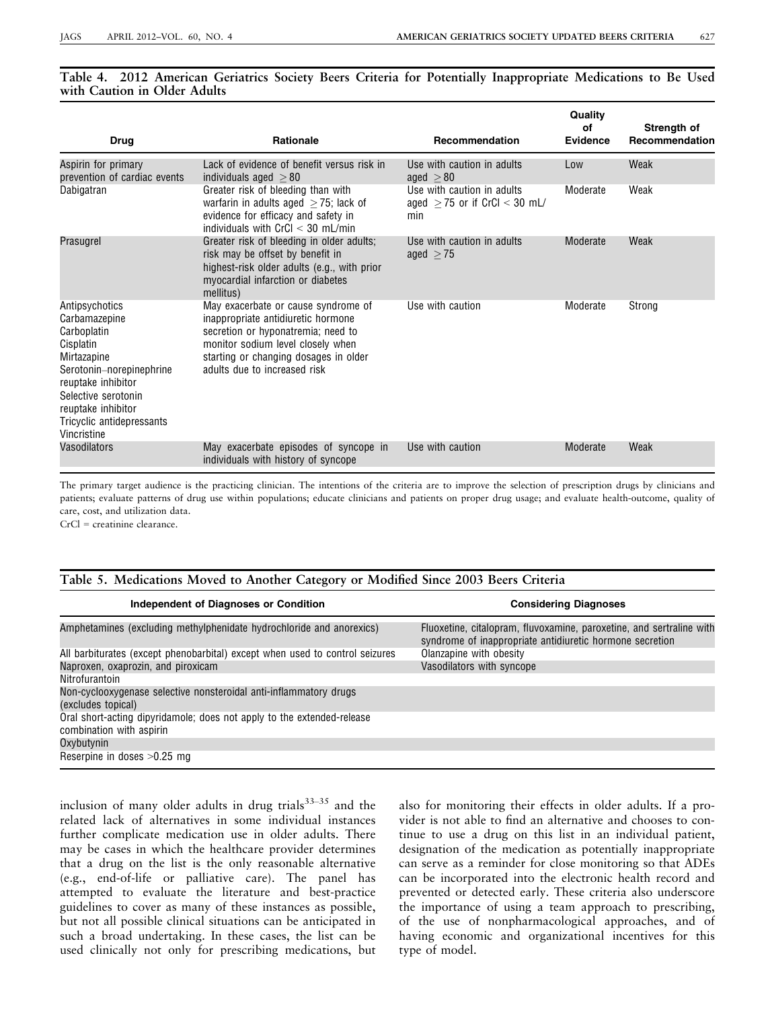## Table 4. 2012 American Geriatrics Society Beers Criteria for Potentially Inappropriate Medications to Be Used with Caution in Older Adults

| <b>Drug</b>                                                                                                                                                                                                           | <b>Rationale</b>                                                                                                                                                                                                              | Recommendation                                                         | Quality<br>of<br>Evidence | Strength of<br>Recommendation |
|-----------------------------------------------------------------------------------------------------------------------------------------------------------------------------------------------------------------------|-------------------------------------------------------------------------------------------------------------------------------------------------------------------------------------------------------------------------------|------------------------------------------------------------------------|---------------------------|-------------------------------|
| Aspirin for primary<br>prevention of cardiac events                                                                                                                                                                   | Lack of evidence of benefit versus risk in<br>individuals aged $>80$                                                                                                                                                          | Use with caution in adults<br>aged $\geq 80$                           | Low                       | Weak                          |
| Dabigatran                                                                                                                                                                                                            | Greater risk of bleeding than with<br>warfarin in adults aged $>$ 75; lack of<br>evidence for efficacy and safety in<br>individuals with $CrCl < 30$ mL/min                                                                   | Use with caution in adults<br>aged $>$ 75 or if CrCl $<$ 30 mL/<br>min | Moderate                  | Weak                          |
| Prasugrel                                                                                                                                                                                                             | Greater risk of bleeding in older adults:<br>risk may be offset by benefit in<br>highest-risk older adults (e.g., with prior<br>myocardial infarction or diabetes<br>mellitus)                                                | Use with caution in adults<br>aged $>75$                               | Moderate                  | Weak                          |
| Antipsychotics<br>Carbamazepine<br>Carboplatin<br>Cisplatin<br>Mirtazapine<br>Serotonin-norepinephrine<br>reuptake inhibitor<br>Selective serotonin<br>reuptake inhibitor<br>Tricyclic antidepressants<br>Vincristine | May exacerbate or cause syndrome of<br>inappropriate antidiuretic hormone<br>secretion or hyponatremia; need to<br>monitor sodium level closely when<br>starting or changing dosages in older<br>adults due to increased risk | Use with caution                                                       | Moderate                  | Strong                        |
| Vasodilators                                                                                                                                                                                                          | May exacerbate episodes of syncope in<br>individuals with history of syncope                                                                                                                                                  | Use with caution                                                       | Moderate                  | Weak                          |

The primary target audience is the practicing clinician. The intentions of the criteria are to improve the selection of prescription drugs by clinicians and patients; evaluate patterns of drug use within populations; educate clinicians and patients on proper drug usage; and evaluate health-outcome, quality of care, cost, and utilization data.

CrCl = creatinine clearance.

## Table 5. Medications Moved to Another Category or Modified Since 2003 Beers Criteria

| Independent of Diagnoses or Condition                                                              | <b>Considering Diagnoses</b>                                                                                                     |
|----------------------------------------------------------------------------------------------------|----------------------------------------------------------------------------------------------------------------------------------|
| Amphetamines (excluding methylphenidate hydrochloride and anorexics)                               | Fluoxetine, citalopram, fluvoxamine, paroxetine, and sertraline with<br>syndrome of inappropriate antidiuretic hormone secretion |
| All barbiturates (except phenobarbital) except when used to control seizures                       | Olanzapine with obesity                                                                                                          |
| Naproxen, oxaprozin, and piroxicam                                                                 | Vasodilators with syncope                                                                                                        |
| Nitrofurantoin                                                                                     |                                                                                                                                  |
| Non-cyclooxygenase selective nonsteroidal anti-inflammatory drugs<br>(excludes topical)            |                                                                                                                                  |
| Oral short-acting dipyridamole; does not apply to the extended-release<br>combination with aspirin |                                                                                                                                  |
| Oxybutynin                                                                                         |                                                                                                                                  |
| Reserpine in doses $>0.25$ mg                                                                      |                                                                                                                                  |

inclusion of many older adults in drug trials $33-35$  and the related lack of alternatives in some individual instances further complicate medication use in older adults. There may be cases in which the healthcare provider determines that a drug on the list is the only reasonable alternative (e.g., end-of-life or palliative care). The panel has attempted to evaluate the literature and best-practice guidelines to cover as many of these instances as possible, but not all possible clinical situations can be anticipated in such a broad undertaking. In these cases, the list can be used clinically not only for prescribing medications, but

also for monitoring their effects in older adults. If a provider is not able to find an alternative and chooses to continue to use a drug on this list in an individual patient, designation of the medication as potentially inappropriate can serve as a reminder for close monitoring so that ADEs can be incorporated into the electronic health record and prevented or detected early. These criteria also underscore the importance of using a team approach to prescribing, of the use of nonpharmacological approaches, and of having economic and organizational incentives for this type of model.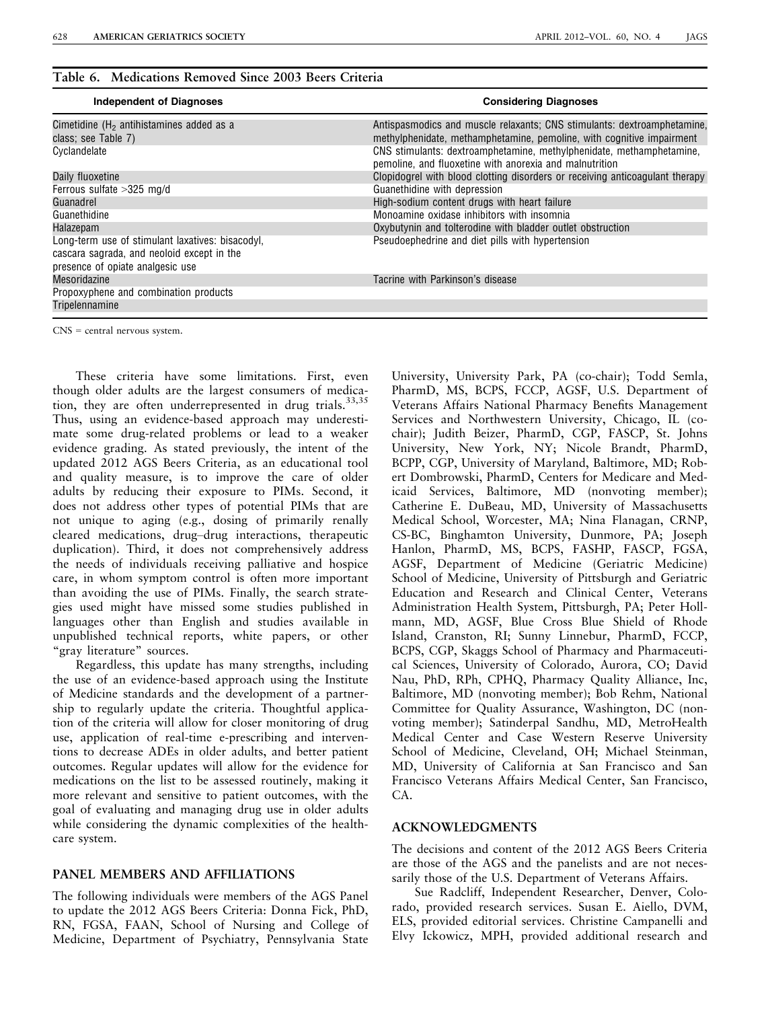#### Table 6. Medications Removed Since 2003 Beers Criteria

| <b>Independent of Diagnoses</b>                                                                                                    | <b>Considering Diagnoses</b>                                                 |
|------------------------------------------------------------------------------------------------------------------------------------|------------------------------------------------------------------------------|
| Cimetidine ( $H_2$ antihistamines added as a                                                                                       | Antispasmodics and muscle relaxants; CNS stimulants: dextroamphetamine,      |
| class; see Table 7)                                                                                                                | methylphenidate, methamphetamine, pemoline, with cognitive impairment        |
| Cyclandelate                                                                                                                       | CNS stimulants: dextroamphetamine, methylphenidate, methamphetamine,         |
|                                                                                                                                    | pemoline, and fluoxetine with anorexia and malnutrition                      |
| Daily fluoxetine                                                                                                                   | Clopidogrel with blood clotting disorders or receiving anticoagulant therapy |
| Ferrous sulfate $>325$ mg/d                                                                                                        | Guanethidine with depression                                                 |
| Guanadrel                                                                                                                          | High-sodium content drugs with heart failure                                 |
| Guanethidine                                                                                                                       | Monoamine oxidase inhibitors with insomnia                                   |
| Halazepam                                                                                                                          | Oxybutynin and tolterodine with bladder outlet obstruction                   |
| Long-term use of stimulant laxatives: bisacodyl,<br>cascara sagrada, and neoloid except in the<br>presence of opiate analgesic use | Pseudoephedrine and diet pills with hypertension                             |
| Mesoridazine                                                                                                                       | Tacrine with Parkinson's disease                                             |
| Propoxyphene and combination products                                                                                              |                                                                              |
| Tripelennamine                                                                                                                     |                                                                              |

CNS = central nervous system.

These criteria have some limitations. First, even though older adults are the largest consumers of medication, they are often underrepresented in drug trials.  $33,35$ Thus, using an evidence-based approach may underestimate some drug-related problems or lead to a weaker evidence grading. As stated previously, the intent of the updated 2012 AGS Beers Criteria, as an educational tool and quality measure, is to improve the care of older adults by reducing their exposure to PIMs. Second, it does not address other types of potential PIMs that are not unique to aging (e.g., dosing of primarily renally cleared medications, drug–drug interactions, therapeutic duplication). Third, it does not comprehensively address the needs of individuals receiving palliative and hospice care, in whom symptom control is often more important than avoiding the use of PIMs. Finally, the search strategies used might have missed some studies published in languages other than English and studies available in unpublished technical reports, white papers, or other "gray literature" sources.

Regardless, this update has many strengths, including the use of an evidence-based approach using the Institute of Medicine standards and the development of a partnership to regularly update the criteria. Thoughtful application of the criteria will allow for closer monitoring of drug use, application of real-time e-prescribing and interventions to decrease ADEs in older adults, and better patient outcomes. Regular updates will allow for the evidence for medications on the list to be assessed routinely, making it more relevant and sensitive to patient outcomes, with the goal of evaluating and managing drug use in older adults while considering the dynamic complexities of the healthcare system.

#### PANEL MEMBERS AND AFFILIATIONS

The following individuals were members of the AGS Panel to update the 2012 AGS Beers Criteria: Donna Fick, PhD, RN, FGSA, FAAN, School of Nursing and College of Medicine, Department of Psychiatry, Pennsylvania State

University, University Park, PA (co-chair); Todd Semla, PharmD, MS, BCPS, FCCP, AGSF, U.S. Department of Veterans Affairs National Pharmacy Benefits Management Services and Northwestern University, Chicago, IL (cochair); Judith Beizer, PharmD, CGP, FASCP, St. Johns University, New York, NY; Nicole Brandt, PharmD, BCPP, CGP, University of Maryland, Baltimore, MD; Robert Dombrowski, PharmD, Centers for Medicare and Medicaid Services, Baltimore, MD (nonvoting member); Catherine E. DuBeau, MD, University of Massachusetts Medical School, Worcester, MA; Nina Flanagan, CRNP, CS-BC, Binghamton University, Dunmore, PA; Joseph Hanlon, PharmD, MS, BCPS, FASHP, FASCP, FGSA, AGSF, Department of Medicine (Geriatric Medicine) School of Medicine, University of Pittsburgh and Geriatric Education and Research and Clinical Center, Veterans Administration Health System, Pittsburgh, PA; Peter Hollmann, MD, AGSF, Blue Cross Blue Shield of Rhode Island, Cranston, RI; Sunny Linnebur, PharmD, FCCP, BCPS, CGP, Skaggs School of Pharmacy and Pharmaceutical Sciences, University of Colorado, Aurora, CO; David Nau, PhD, RPh, CPHQ, Pharmacy Quality Alliance, Inc, Baltimore, MD (nonvoting member); Bob Rehm, National Committee for Quality Assurance, Washington, DC (nonvoting member); Satinderpal Sandhu, MD, MetroHealth Medical Center and Case Western Reserve University School of Medicine, Cleveland, OH; Michael Steinman, MD, University of California at San Francisco and San Francisco Veterans Affairs Medical Center, San Francisco, CA.

# ACKNOWLEDGMENTS

The decisions and content of the 2012 AGS Beers Criteria are those of the AGS and the panelists and are not necessarily those of the U.S. Department of Veterans Affairs.

Sue Radcliff, Independent Researcher, Denver, Colorado, provided research services. Susan E. Aiello, DVM, ELS, provided editorial services. Christine Campanelli and Elvy Ickowicz, MPH, provided additional research and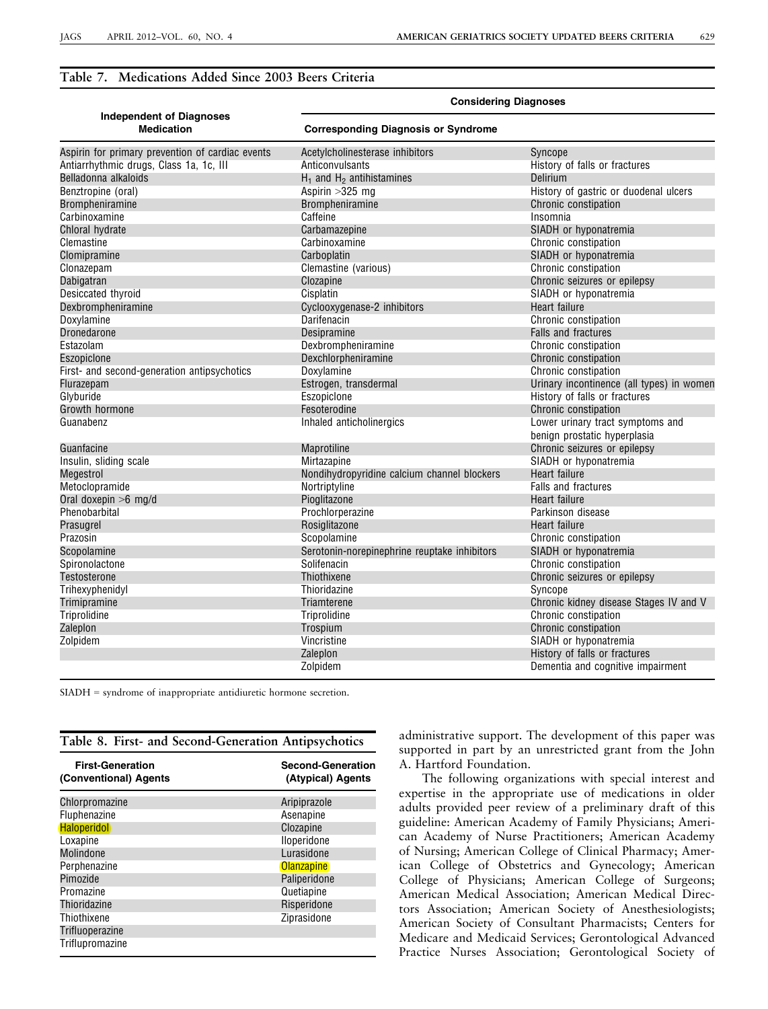Considering Diagnoses

# Table 7. Medications Added Since 2003 Beers Criteria

| <b>Independent of Diagnoses</b><br><b>Medication</b> | <b>Corresponding Diagnosis or Syndrome</b>   |                                           |  |  |
|------------------------------------------------------|----------------------------------------------|-------------------------------------------|--|--|
| Aspirin for primary prevention of cardiac events     | Acetylcholinesterase inhibitors              | Syncope                                   |  |  |
| Antiarrhythmic drugs, Class 1a, 1c, III              | Anticonvulsants                              | History of falls or fractures             |  |  |
| Belladonna alkaloids                                 | $H_1$ and $H_2$ antihistamines               | Delirium                                  |  |  |
| Benztropine (oral)                                   | Aspirin > 325 mg                             | History of gastric or duodenal ulcers     |  |  |
| <b>Brompheniramine</b>                               | Brompheniramine                              | Chronic constipation                      |  |  |
| Carbinoxamine                                        | Caffeine                                     | Insomnia                                  |  |  |
| Chloral hydrate                                      | Carbamazepine                                | SIADH or hyponatremia                     |  |  |
| Clemastine                                           | Carbinoxamine                                | Chronic constipation                      |  |  |
| Clomipramine                                         | Carboplatin                                  | SIADH or hyponatremia                     |  |  |
| Clonazepam                                           | Clemastine (various)                         | Chronic constipation                      |  |  |
| Dabigatran                                           | Clozapine                                    | Chronic seizures or epilepsy              |  |  |
| Desiccated thyroid                                   | Cisplatin                                    | SIADH or hyponatremia                     |  |  |
| Dexbrompheniramine                                   | Cyclooxygenase-2 inhibitors                  | Heart failure                             |  |  |
| Doxylamine                                           | Darifenacin                                  | Chronic constipation                      |  |  |
| <b>Dronedarone</b>                                   | Desipramine                                  | <b>Falls and fractures</b>                |  |  |
| Estazolam                                            | Dexbrompheniramine                           | Chronic constipation                      |  |  |
| Eszopiclone                                          | Dexchlorpheniramine                          | Chronic constipation                      |  |  |
| First- and second-generation antipsychotics          | Doxylamine                                   | Chronic constipation                      |  |  |
| Flurazepam                                           | Estrogen, transdermal                        | Urinary incontinence (all types) in women |  |  |
| Glyburide                                            | Eszopiclone                                  | History of falls or fractures             |  |  |
| Growth hormone                                       | Fesoterodine                                 | Chronic constipation                      |  |  |
| Guanabenz                                            | Inhaled anticholinergics                     | Lower urinary tract symptoms and          |  |  |
|                                                      |                                              | benign prostatic hyperplasia              |  |  |
| Guanfacine                                           | Maprotiline                                  | Chronic seizures or epilepsy              |  |  |
| Insulin, sliding scale                               | Mirtazapine                                  | SIADH or hyponatremia                     |  |  |
| Megestrol                                            | Nondihydropyridine calcium channel blockers  | Heart failure                             |  |  |
| Metoclopramide                                       | Nortriptyline                                | Falls and fractures                       |  |  |
| Oral doxepin $>6$ mg/d                               | Pioglitazone                                 | Heart failure                             |  |  |
| Phenobarbital                                        | Prochlorperazine                             | Parkinson disease                         |  |  |
| Prasugrel                                            | Rosiglitazone                                | Heart failure                             |  |  |
| Prazosin                                             | Scopolamine                                  | Chronic constipation                      |  |  |
| Scopolamine                                          | Serotonin-norepinephrine reuptake inhibitors | SIADH or hyponatremia                     |  |  |
| Spironolactone                                       | Solifenacin                                  | Chronic constipation                      |  |  |
| Testosterone                                         | Thiothixene                                  | Chronic seizures or epilepsy              |  |  |
| Trihexyphenidyl                                      | Thioridazine                                 | Syncope                                   |  |  |
| Trimipramine                                         | Triamterene                                  | Chronic kidney disease Stages IV and V    |  |  |
| Triprolidine                                         | Triprolidine                                 | Chronic constipation                      |  |  |
| Zaleplon                                             | Trospium                                     | Chronic constipation                      |  |  |
| Zolpidem                                             | Vincristine                                  | SIADH or hyponatremia                     |  |  |
|                                                      | Zaleplon                                     | History of falls or fractures             |  |  |
|                                                      | Zolpidem                                     | Dementia and cognitive impairment         |  |  |
|                                                      |                                              |                                           |  |  |

SIADH = syndrome of inappropriate antidiuretic hormone secretion.

|  |  | Table 8. First- and Second-Generation Antipsychotics |  |  |
|--|--|------------------------------------------------------|--|--|
|  |  |                                                      |  |  |
|  |  |                                                      |  |  |
|  |  |                                                      |  |  |
|  |  |                                                      |  |  |

| <b>First-Generation</b><br>(Conventional) Agents | <b>Second-Generation</b><br>(Atypical) Agents |
|--------------------------------------------------|-----------------------------------------------|
| Chlorpromazine                                   | Aripiprazole                                  |
| Fluphenazine                                     | Asenapine                                     |
| Haloperidol                                      | Clozapine                                     |
| Loxapine                                         | Iloperidone                                   |
| Molindone                                        | Lurasidone                                    |
| Perphenazine                                     | <b>Olanzapine</b>                             |
| Pimozide                                         | Paliperidone                                  |
| Promazine                                        | Quetiapine                                    |
| Thioridazine                                     | Risperidone                                   |
| Thiothixene                                      | Ziprasidone                                   |
| Trifluoperazine                                  |                                               |
| Triflupromazine                                  |                                               |

administrative support. The development of this paper was supported in part by an unrestricted grant from the John A. Hartford Foundation.

The following organizations with special interest and expertise in the appropriate use of medications in older adults provided peer review of a preliminary draft of this guideline: American Academy of Family Physicians; American Academy of Nurse Practitioners; American Academy of Nursing; American College of Clinical Pharmacy; American College of Obstetrics and Gynecology; American College of Physicians; American College of Surgeons; American Medical Association; American Medical Directors Association; American Society of Anesthesiologists; American Society of Consultant Pharmacists; Centers for Medicare and Medicaid Services; Gerontological Advanced Practice Nurses Association; Gerontological Society of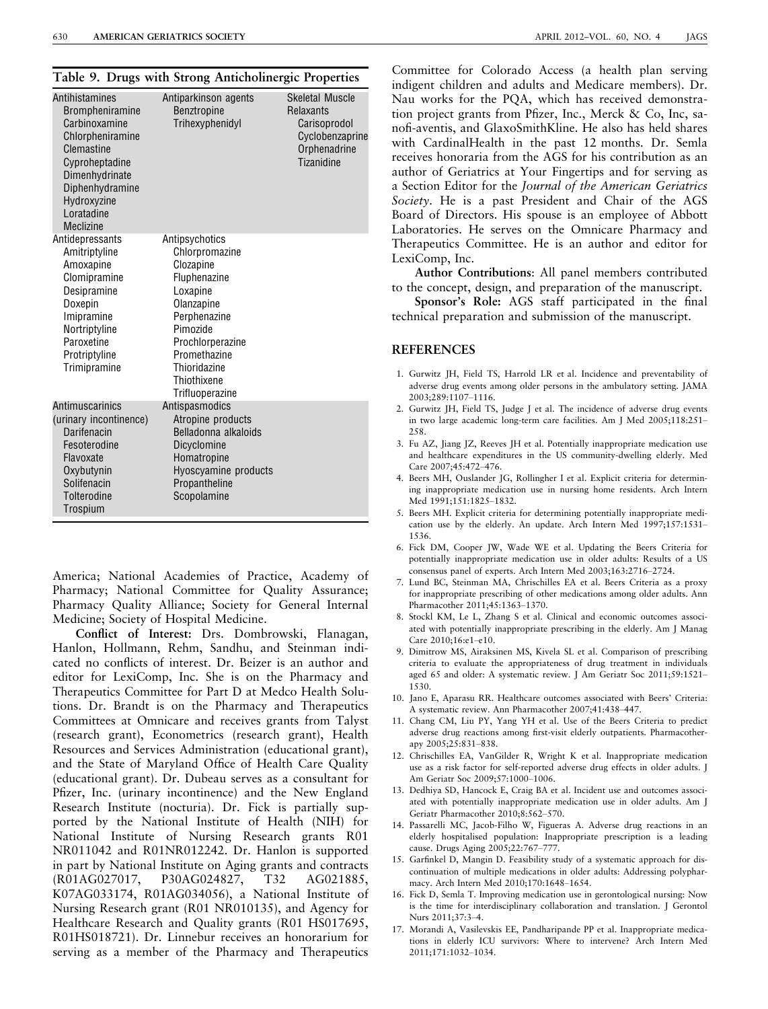Table 9. Drugs with Strong Anticholinergic Properties

|                                                                                                                                                                                              |                                                                                                                                                                                                           | $    -$                                                                                                     |
|----------------------------------------------------------------------------------------------------------------------------------------------------------------------------------------------|-----------------------------------------------------------------------------------------------------------------------------------------------------------------------------------------------------------|-------------------------------------------------------------------------------------------------------------|
| Antihistamines<br><b>Brompheniramine</b><br>Carbinoxamine<br>Chlorpheniramine<br>Clemastine<br>Cyproheptadine<br>Dimenhydrinate<br>Diphenhydramine<br>Hydroxyzine<br>Loratadine<br>Meclizine | Antiparkinson agents<br>Benztropine<br>Trihexyphenidyl                                                                                                                                                    | <b>Skeletal Muscle</b><br>Relaxants<br>Carisoprodol<br>Cyclobenzaprine<br>Orphenadrine<br><b>Tizanidine</b> |
| Antidepressants<br>Amitriptyline<br>Amoxapine<br>Clomipramine<br>Desipramine<br>Doxepin<br>Imipramine<br>Nortriptyline<br>Paroxetine<br>Protriptyline<br>Trimipramine                        | Antipsychotics<br>Chlorpromazine<br>Clozapine<br>Fluphenazine<br>Loxapine<br>Olanzapine<br>Perphenazine<br>Pimozide<br>Prochlorperazine<br>Promethazine<br>Thioridazine<br>Thiothixene<br>Trifluoperazine |                                                                                                             |
| Antimuscarinics<br>(urinary incontinence)<br>Darifenacin<br>Fesoterodine<br>Flavoxate<br>Oxybutynin<br>Solifenacin<br>Tolterodine<br>Trospium                                                | Antispasmodics<br>Atropine products<br>Belladonna alkaloids<br>Dicyclomine<br>Homatropine<br>Hyoscyamine products<br>Propantheline<br>Scopolamine                                                         |                                                                                                             |

America; National Academies of Practice, Academy of Pharmacy; National Committee for Quality Assurance; Pharmacy Quality Alliance; Society for General Internal Medicine; Society of Hospital Medicine.

Conflict of Interest: Drs. Dombrowski, Flanagan, Hanlon, Hollmann, Rehm, Sandhu, and Steinman indicated no conflicts of interest. Dr. Beizer is an author and editor for LexiComp, Inc. She is on the Pharmacy and Therapeutics Committee for Part D at Medco Health Solutions. Dr. Brandt is on the Pharmacy and Therapeutics Committees at Omnicare and receives grants from Talyst (research grant), Econometrics (research grant), Health Resources and Services Administration (educational grant), and the State of Maryland Office of Health Care Quality (educational grant). Dr. Dubeau serves as a consultant for Pfizer, Inc. (urinary incontinence) and the New England Research Institute (nocturia). Dr. Fick is partially supported by the National Institute of Health (NIH) for National Institute of Nursing Research grants R01 NR011042 and R01NR012242. Dr. Hanlon is supported in part by National Institute on Aging grants and contracts (R01AG027017, P30AG024827, T32 AG021885, K07AG033174, R01AG034056), a National Institute of Nursing Research grant (R01 NR010135), and Agency for Healthcare Research and Quality grants (R01 HS017695, R01HS018721). Dr. Linnebur receives an honorarium for serving as a member of the Pharmacy and Therapeutics

Committee for Colorado Access (a health plan serving indigent children and adults and Medicare members). Dr. Nau works for the PQA, which has received demonstration project grants from Pfizer, Inc., Merck & Co, Inc, sanofi-aventis, and GlaxoSmithKline. He also has held shares with CardinalHealth in the past 12 months. Dr. Semla receives honoraria from the AGS for his contribution as an author of Geriatrics at Your Fingertips and for serving as a Section Editor for the Journal of the American Geriatrics Society. He is a past President and Chair of the AGS Board of Directors. His spouse is an employee of Abbott Laboratories. He serves on the Omnicare Pharmacy and Therapeutics Committee. He is an author and editor for LexiComp, Inc.

Author Contributions: All panel members contributed to the concept, design, and preparation of the manuscript.

Sponsor's Role: AGS staff participated in the final technical preparation and submission of the manuscript.

#### **REFERENCES**

- 1. Gurwitz JH, Field TS, Harrold LR et al. Incidence and preventability of adverse drug events among older persons in the ambulatory setting. JAMA 2003;289:1107–1116.
- 2. Gurwitz JH, Field TS, Judge J et al. The incidence of adverse drug events in two large academic long-term care facilities. Am J Med 2005;118:251– 258.
- 3. Fu AZ, Jiang JZ, Reeves JH et al. Potentially inappropriate medication use and healthcare expenditures in the US community-dwelling elderly. Med Care 2007;45:472–476.
- 4. Beers MH, Ouslander JG, Rollingher I et al. Explicit criteria for determining inappropriate medication use in nursing home residents. Arch Intern Med 1991;151:1825–1832.
- 5. Beers MH. Explicit criteria for determining potentially inappropriate medication use by the elderly. An update. Arch Intern Med 1997;157:1531– 1536.
- 6. Fick DM, Cooper JW, Wade WE et al. Updating the Beers Criteria for potentially inappropriate medication use in older adults: Results of a US consensus panel of experts. Arch Intern Med 2003;163:2716–2724.
- 7. Lund BC, Steinman MA, Chrischilles EA et al. Beers Criteria as a proxy for inappropriate prescribing of other medications among older adults. Ann Pharmacother 2011;45:1363–1370.
- 8. Stockl KM, Le L, Zhang S et al. Clinical and economic outcomes associated with potentially inappropriate prescribing in the elderly. Am J Manag Care 2010;16:e1–e10.
- 9. Dimitrow MS, Airaksinen MS, Kivela SL et al. Comparison of prescribing criteria to evaluate the appropriateness of drug treatment in individuals aged 65 and older: A systematic review. J Am Geriatr Soc 2011;59:1521– 1530.
- 10. Jano E, Aparasu RR. Healthcare outcomes associated with Beers' Criteria: A systematic review. Ann Pharmacother 2007;41:438–447.
- 11. Chang CM, Liu PY, Yang YH et al. Use of the Beers Criteria to predict adverse drug reactions among first-visit elderly outpatients. Pharmacotherapy 2005;25:831–838.
- 12. Chrischilles EA, VanGilder R, Wright K et al. Inappropriate medication use as a risk factor for self-reported adverse drug effects in older adults. J Am Geriatr Soc 2009;57:1000–1006.
- 13. Dedhiya SD, Hancock E, Craig BA et al. Incident use and outcomes associated with potentially inappropriate medication use in older adults. Am J Geriatr Pharmacother 2010;8:562–570.
- 14. Passarelli MC, Jacob-Filho W, Figueras A. Adverse drug reactions in an elderly hospitalised population: Inappropriate prescription is a leading cause. Drugs Aging 2005;22:767–777.
- 15. Garfinkel D, Mangin D. Feasibility study of a systematic approach for discontinuation of multiple medications in older adults: Addressing polypharmacy. Arch Intern Med 2010;170:1648–1654.
- 16. Fick D, Semla T. Improving medication use in gerontological nursing: Now is the time for interdisciplinary collaboration and translation. J Gerontol Nurs 2011;37:3–4.
- 17. Morandi A, Vasilevskis EE, Pandharipande PP et al. Inappropriate medications in elderly ICU survivors: Where to intervene? Arch Intern Med 2011;171:1032–1034.